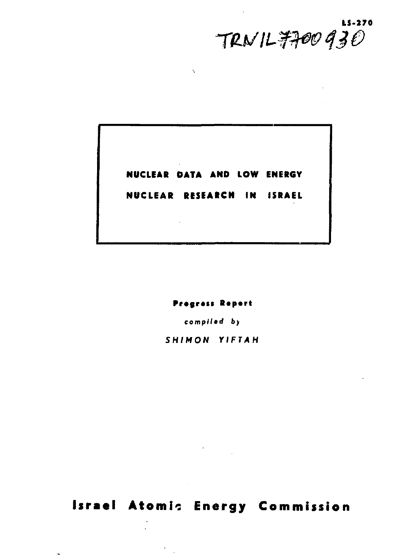**11-270**  *TW li-fW 430* 

**NUCLEAR DATA AND LOW ENERGY** 

Ñ

**NUCLEAR RESEARCH IN ISRAEL** 

**Pragrau R«p«r»**  *compiled* by

*SHIMON YIFTAH* 

**Israel Atomic Energy Commission** 

 $\ddot{\phantom{0}}$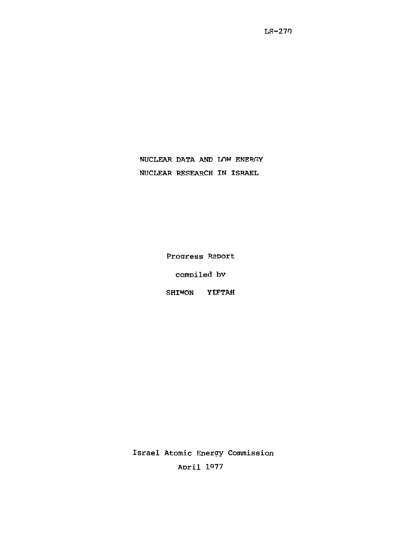LR-270

NUCLEAR DATA AND LOW ENERGY NIICLEAR RESEARCH IN ISRAEL

Progress Report

compiled bv

SHIMON YIFTAH

Israel Atomic Energy Commission ADril 1977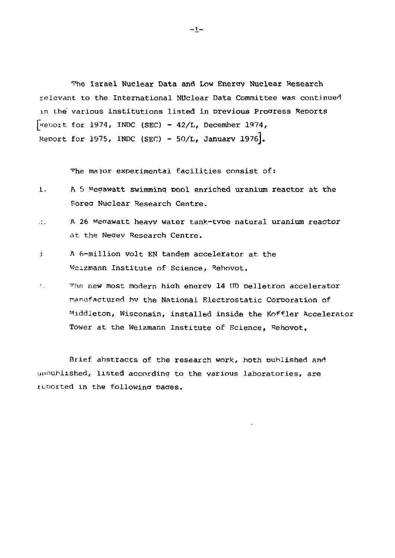The Israel Nuclear Data and Low Energy Nuclear Research relevant to the International NUclear Data Committee was continued xn the various institutions listed in previous Proaress Reports [^epozt for 1974, INDC (SEC) - 42/L, December 1974, Report for 1975, INDC (SEC) - 50/L, January 1976].

The major experimental facilities consist of:

- 1. A S Megawatt swimminq pool enriched uranium reactor at the SoreQ Nuclear Research Centre.
- $\sim$ A 26 Megawatt heavv water tank-tvpe natural uranium reactor at the Neaev Research Centre.
- j A 6-million volt EN tandem accelerator at the Weizmann Institute of Science, Rehovot,
- *1* The new most modern high energy 14 UD pelletron accelerator manufactured bv the National Electrostatic Corporation of Middleton, Wisconsin, installed inside the Koffler Accelerator Tower at the Weizmann Institute of Science, Rehovot,

Brief abstracts of the research work, both published and unnuhlished, listed according to the various laboratories, are reported in the followina paaes.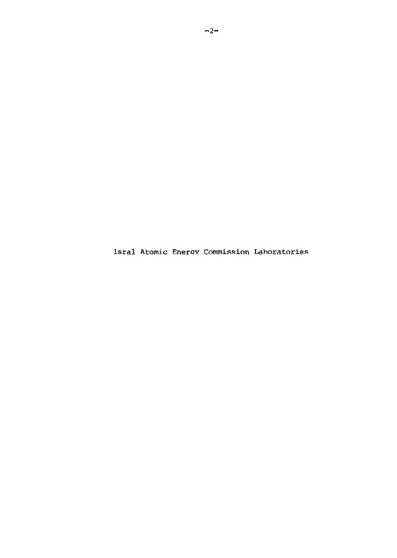Isral Atomic Enerqv Commission Laboratories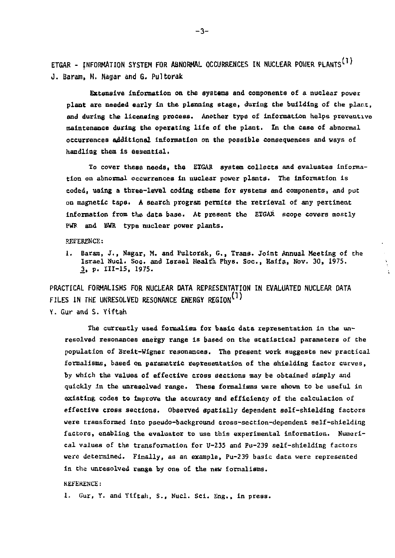**ETGAR - INFORMATION SYSTEM FOR ABNORMAL OCCURRENCES IN NUCLEAR POWER PLANTS^<sup>1</sup>\* J. Baram, M. Nagar and G. Pultorak** 

**Extensive Information on the systems and components of a nuclear power plant are needed early in the planning stage, during the building of the plar.t, and during the licensing process. Another type of information helps preventive maintenance during the operating life of the plant. In the case of abnormal occurrences additional information on the possible consequences and ways of handling them Is essential.** 

To cover these needs, the ETGAR system collects and evaluates informa**tion on abnormal occurrences in nuclear power plants. The Information is coded, using a three-level coding scheme for systems and components, and put on magnetic tape\* A search program permits the retrieval of any pertinent information from the data base. At present the EIGAR scope covers mostly**  PWR and BWR type nuclear power plants.

**REFERENCE:** 

**1. Baram, J., Nagar, M. and Pultorak, G.t Trans. Joint Annual Meeting of the Israel Nucl. Soc. and Israel Health. Fhys. Soc, Haifa, Nov. 30, 1975. JJ, p. 111-15, 1975.** 

**PRACTICAL FORMALISMS FOR NUCLEAR DATA REPRESENTATION TN EVALUATED NUCLEAR DATA FILES IN THE UNRESOLVED RESONANCE ENERGY REGION^1'** 

**Y. Gur and S. Yiftah** 

**The currently used formalism for basic data representation in the unresolved resonances energy range is based on the statistical parameters of the population of Breit-Wignec resonances. The present work suggests new practical formalisms, based on parametric representation of the shielding factor curves, by which the values of effective cross sections may be obtained simply and quickly in the unresolved range. These formalisms were shown to be useful in existing codes to improve the accuracy and efficiency of the calculation of effective cross sections. Observed spatially dependent self-shielding factors were transformed Into pseudo-background cross-section-dependent self-shielding factors, enabling the evaluator to use this experimental information. Numerical values of the transformation for U-235 and Pu-239 self-shielding factors were determined. Finally, as an example, Pu-239 basic data were represented in the unresolved range by one of the new formalisms.** 

#### **REFERENCE:**

**1- Gur,** *Y.* **and Yiftah, S., Nucl. Sei. Eng., in press.**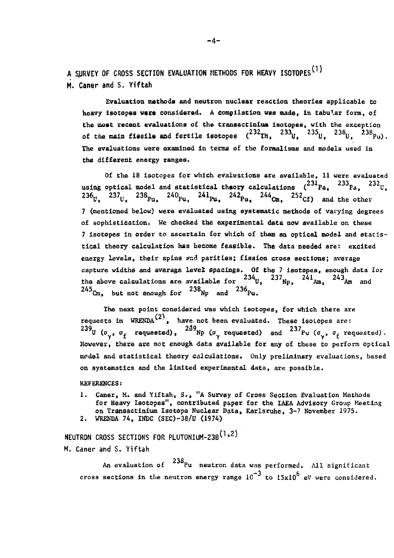**A SJJRVEY OF CROSS SECTION EVALUATION METHODS FOR HEAVY ISOTOPES^<sup>1</sup>\* M. Caner and S. Yiftah** 

Evaluation methods and neutron nuclear reaction theories applicable to heavy isotppaa **vara** considered. A compilation vas made, in tabular form, of the most recent evaluations of the transactinlum isotopes, with the exception of the main fiesile and fertile isotopes  $(2.72 \text{ m}, 2.32 \text{ m})$ ,  $2.33 \text{ m}$ ,  $2.33 \text{ m}$ The evaluations were examined in terms of the formalisms and models used in the different energy ranges.

Of the 18 isotopes for which evaluations are available» 11 were evaluated using optical model and statistical theory calculations  $\binom{231}{124}$ ,  $\binom{233}{23}$ ,  $\binom{232}{11}$ ,  $\mathbf{z} \sim \mathbf{U}$ ,  $\mathbf{z} \sim \mathbf{P} \mathbf{u}$ ,  $\mathbf{v} \sim \mathbf{P} \mathbf{u}$ ,  $\mathbf{v} \sim \mathbf{P} \mathbf{u}$ ,  $\mathbf{v} \sim \mathbf{C} \mathbf{m}$ ,  $\mathbf{v} \sim \mathbf{C} \mathbf{f}$ ) and the ot 7 (mentioned below) were evaluated using systematic methods of varying degrees of sophistication. We checked the experimental data now available on these 7 isotopes in order to ascertain for which of them an optical model and statistical theory calculation has become feasible. The data needed are: excited energy levels, their spins and parities; fission cross sections; average capture widths and average level spacings. Of the 7 isotopes, enough data for the above calculations are available for  $234_{\text{U}}$ ,  $237_{\text{No}}$ ,  $241_{\text{Am}}$ ,  $243_{\text{Am}}$  and ""Cm, but not enough for ""Np and ""Pu.

The next point considered was which isotopes, for which there are requests in  $WRENDA^{(2)}$ , have not been evaluated. These isotopes are:  $^{239}$ U ( $\sigma_{\sim}$ ,  $\sigma_{\epsilon}$  requested),  $^{239}$ Np ( $\sigma_{\sim}$  requested) and  $^{237}$ Pu ( $\sigma_{\sim}$ ,  $\sigma_{\epsilon}$  requested). However, there are not enough data available for any of these to perform optical model and statistical theory calculations. Only preliminary evaluations, based on systematics and the limited experimental data, are possible.

REFERENCES:

1. Caner, M. and Yiftah, S., "A Survey of Cross Section Evaluation Methods for Heavy isotopes", contributed paper for the IAEA Advisory Group Meeting on Transactinium Isotope Nuclear Data, Karlsruhe, 3-7 November 1975. 2. WRENDA 74, INDC (SEC)-38/U (1974)

NEUTRON CROSS SECTIONS FOR PLUTONIUM-238<sup>(1,2)</sup>

M. Caner and S. Yiftah

An evaluation of  $\ ^{238}$ Pu neutron data was performed. All significant cross sections in the neutron energy range  $10^{-3}$  to  $15x10^{6}$  eV were considered.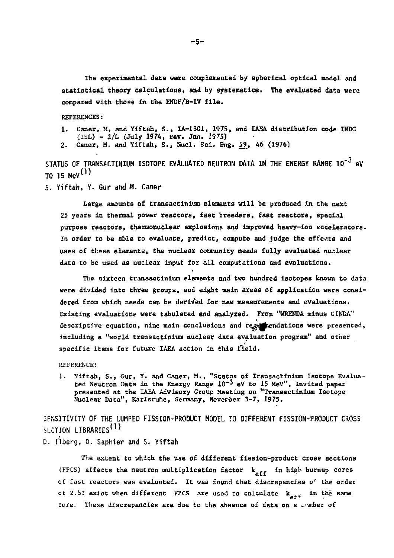**The experimental data vere complemented by spherical optical model and statistical theory calculations, and by systematica\* The evaluated data were compared with those in the ENDF/B-IV file.** 

**REFERENCES:** 

**i. Caner, M. and Yiftah, S.» IA-1301, 1975, and IAEA distribution code INDC (ISL) - 2/L (July 1974, rev. Jan. 19?5)** 

**2. Caner, M. and Yiftati, S., Nucl. Sei. Eng. 59, 46 (1976)** 

STATUS OF TRANSACTINIUM ISOTOPE EVALUATED NEUTRON DATA IN THE ENERGY RANGE 10<sup>-3</sup> eV  $T_0$  15 MeV<sup>(1)</sup>

**S. Yiftah, Y. GUT and M. Caner** 

**Large amounts of transactiniem elements will be produced in the next 25 years in thermal power reactors, fast breeders, fast reactors, special purpose reactors, thermonuclear explosions and improved heavy-ion accelerators. In order to be able to evaluate, predict, compute and judge the effects and uses of these elements, the nuclear community needs fully evaluated nuclear data to be used as nuclear input for all computations and evaluations.** 

**The sixteen trans&ctinium elements and two hundred isotopes known to data were divided into three groups, and eight main areas of application were considered from which needs can be derived for nev measurements and evaluations.**  Existing evaluations were tabulated and analyzed. From "WRENDA minus CINDA" descriptive equation, nine main conclusions and regemendations were presented, **including a "world transactinlum nuclear data evaluation program" and other specific items for future IAEA action in this field.** 

**REFERENCE:** 

**1. Yiftah, S., Gur, Y. and Caner, M., "Status of Transactinium Isotope Evaluated Neutron Data in the Energy Range 10~3<sup>e</sup> V to 15 MeV", Invited paper presented at the IAEA Advisory Group Meeting on "Transactinium Isotope**  Nuclear Data", Karlsruhe, Germany, November<sup>3-7</sup>, 1975.

**SFNSITIVITY OF THE LUMPED FISSION-PRODUCT MODEL TO DIFFERENT FISSION-PRODUCT CROSS SLCTION LIBRARIES\*1'** 

**D. Ilberg, 0. Saphier and S« Yiftah** 

**The extent to which the use of different fission-product cross sections**  (FPCS) affects the neutron multiplication factor  $k_{\text{aff}}$  in high burnup cores **of fast reactors was evaluated. It was found that discrepancies** *o<sup>r</sup>*  **the order**  of 2.5% exist when different FPCS are used to calculate  $k_{\text{off}}$  in the same **core.** These discrepancies are due to the absence of data on a timber of

**-5-**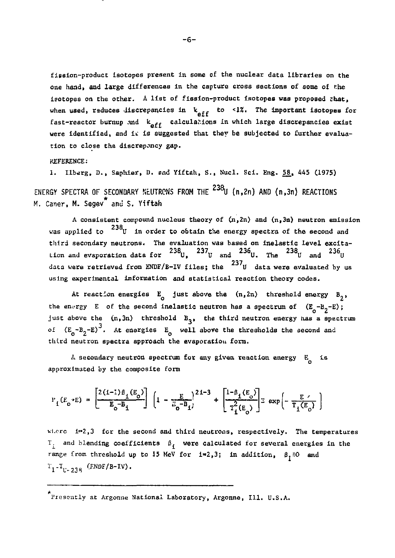fission-product isotopes present in some of the nuclear data libraries on the one hand, and large differences in the capture cross sections of some of the isotopes on the other. A list of fission-product isotopes was proposed that. when used, reduces discrepancies in  $k_{off}$  to <1%. The important isotopes for fast-reactor burnup and  $k_{\text{aff}}$  calculations in which large discrepancies exist were identified, and it is suggested that they be subjected to further evaluation to close the discrepancy gap.

KEFEESNCE:

1. Ilberg, D., Saphier, D. snd Yiftah, S., Nucl. Sci. Eng. 58, 445 (1975) ENERGY SPECTRA OF SECONDARY NEUTRONS FROM THE TILL (n,2n) AND (n,3n) REACTIONS M. Caner, M. Segev<sup>\*</sup> and S. Yiftah

A consistent compound nucleus theory of  $(n,2n)$  and  $(n,3n)$  neutron emission was applied to  $^{238}$  U in order to obtain the energy spectra of the second and third secondary neutrons. The evaluation was based on inelastic level excitation and evaporation data for  $^{238}$ U,  $^{237}$ U and  $^{236}$ U. The  $^{238}$ U and  $^{236}$ U data were retrieved from ENDF/B-IV files; the  $^{237}$ U data were evaluated by us using experimental information and statistical reaction theory codes.

At reaction energies  $E_0$  just above the  $(n,2n)$  threshold energy  $B_2$ , the energy E of the second inelastic neutron has a spectrum of  $(E_0 - B_2 - E)$ ; just above the  $(n,3n)$  threshold  $B_3$ , the third neutron energy has a spectrum of  $(E_o - B_2 - E)^3$ . At energies  $E_o$  well above the thresholds the second and third neutron spectra approach the evaporation form.

 $\Lambda$  secondary neutron spectrum for any given reaction energy  $E_{\Lambda}$  is approximated by the composite form

$$
P_{L}(E_o+E) = \left[\frac{2(1-1)\beta_1(E_o)}{E_o - B_1}\right] \left(1 - \frac{E}{E_o - B_1}\right)^{21-3} + \left[\frac{1-\beta_1(E_o)}{T_1^2(E_o)}\right] \le \exp\left[-\frac{E}{T_1(E_o)}\right)
$$

where  $i=2,3$  for the second and third neutrons, respectively. The temperatures  $T_i$  and blending coefficients  $\beta_i$  were calculated for several energies in the range from threshold up to 15 MeV for  $i=2,3$ ; in addition,  $\beta_1=0$  and  $T_1 - T_{U-238}$  (ENDF/B-IV).

<sup>\*&</sup>lt;br>Presently at Argonne National Laboratory, Argonne, Ill. U.S.A.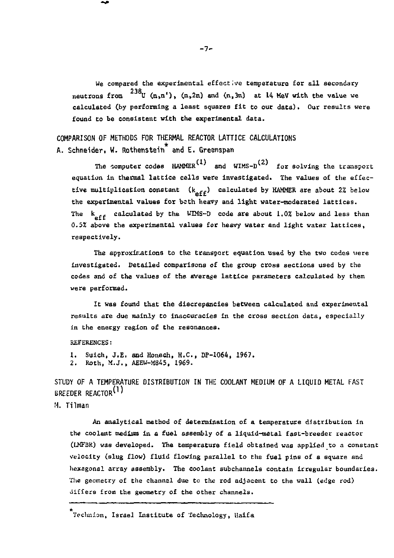We compared the experimental effective temperature for all secondary neutrons from  $^{238}$ U (n,n'), (n,2n) and (n,3n) at 14 MeV with the value we calculated (by performing a least squares fit to our data). Our results were found to be consistent with the experimental data.

**COMPARISON OF METHODS FOR THERMAL REACTOR LATTICE CALCULATIONS**  A. Schneider. W. Rothenstein<sup>\*</sup> and E. Greenspan

The computer codes  $HAMCER^{(1)}$  and WIMS-D<sup>(2)</sup> for solving the transport equation in thermal lattice cells were investigated. The values of the effective multiplication constant  $(k_{\alpha f f})$  calculated by HAMMER are about 2% below the experimental values for bcth heavy and light water-moderated lattices. The  $k_{\alpha f}$  calculated by the WIMS-D code are about 1.0% below and less than *0.5%* above the experimental values for heavy water and light water lattices, respectively.

The approximations to the transport equation used by the two codes were investigated. Detailed comparisons of the group cross sections used by the codes and of the values of the average lattice parameters calculated by them were performed.

It was found that the discrepancies between calculated and experimental results are due mainly to inaccuracies in the cross section data, especially in the energy region of the resonances.

#### REFERENCES:

1. Suich, J.E. and Honech, H.C., DP-1064, 1967. 2. Roth, M.J.» AEEW-M845, 1969.

**STUDY OF A TEMPERATURE DISTRIBUTION IN THE COOLANT MEDIUM OF A LIQUID METAL FAST BREEDER REACTOR\*<sup>1</sup>'** 

**M. Tilman** 

An analytical method of determination of a temperature distribution in the coolant medium in a fuel assembly of a liquid-metal fast-breeder reactor (LMFBR) was developed. The temperature field obtained was applied to a constant velocity (slug flow) fluid flowing parallel to the fuel pins of a square and hexagonal array assembly. The coolant subchannels contain irregular boundaries. The geometry of the channel due to the rod adjacent to the wall (edge rod) differs from the geometry of the other channels.

Teclmion, Israel Institute of Technology, Haifa

 $-7-$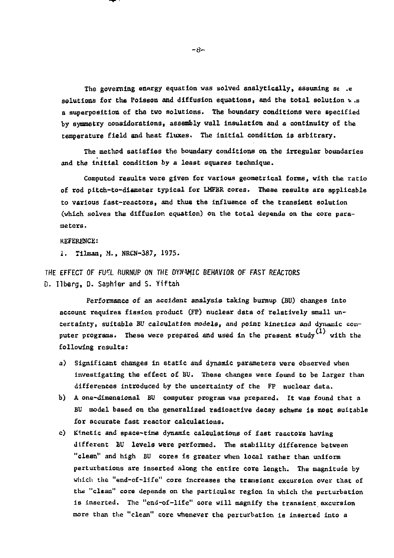The governing energy equation was solved analytically, assuming se .e solutions for the Poisson and diffusion equations, and the total solution *v* .s a superposition of tha two solutions. The boundary conditions vere specified by symmetry considerations, assembly wall insulation and a continuity of the temperature field and heat fluxes. The initial condition is arbitrary.

The method satisfies the boundary conditions on the irregular boundaries and the initial condition by a least squares technique.

Computed results vere given for various geometrical forms, with the ratio of rod pitch-co-diameter typical for LMFBR cores, these results are applicable to various fast-reactors, and thus the influence of the transient solution (which solves the diffusion, equation) on the total depends on the core parameters.

#### REFERENCE:

2. Tllmaa, M., NRCN-387, 1975.

THE EFFECT OF FUEL BURNUP ON THE DYNAMIC BEHAVIOR OF FAST REACTORS D. Ilberg, D. Saphier and S. Yiftah

Performance of an accident analysis taking burnup (BU) changes into account requires fission product (FP) nuclear data of relatively small uncertainty, suitable *BV* calculation models, and point kinetics and dynamic computer programs. These were prepared and used in the present study  $^{(1)}$  with the following results:

- a) Significant changes in static and dynamic parameters were observed when investigating the effect of BU. These changes were found to be larger than differences introduced by the uncertainty of the FP nuclear data.
- b) A one-dimensional BU computer program was prepared. It was found that a BU model based on the generalized radioactive decay scheme is most suitable for accurate fast reactor calculations.
- c) Kinetic and space-time dynamic calculations of fast reactors having different BU levels were performed. The stability difference between "clean" and high BU cores is greater when local rather than uniform perturbations are inserted along the entire core length. The magnitude by which the "end-of-life" core increases the transient excursion over that of the "clean" core depends on the particular region in which the perturbation is inserted. The "end-of-life" core will magnify the transient excursion more than the "clean" core whenever the perturbation is inserted into a

-6~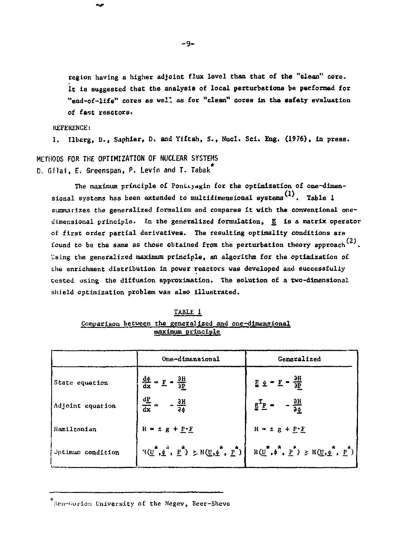**region having a higher adjoint flux level than that of the "clean" core. It is suggested that the analysis of local perturbations be performed for "end-of-life" cores as well as for "clean" cores in the safety evaluation of fast reactors.** 

**REFERENCE:** 

**1. Ilberg, D., Saphier, D. and Yiftah, S., Nucl. Sei, Eng. (1976), in press.** 

**METHODS FOR THE OPTIMIZATION OF NUCLEAR SYSTEMS D. Gilai» F. Greenspan, P. Levin and T. Tabak** 

The maximum principle of Pontryagin for the optimization of one-dimensional systems has been extended to multidimensional systems<sup>(1)</sup>. Table 1 **summarizes the generalized formalism and compares it with the conventional onedimensional principle. In the generalized formulation» E is a matrix operator of first order partial derivatives. The resulting optimality conditions are**  found to be the same as those obtained from the perturbation theory approach  $^{(2)}$ . **Using the generalized maximum principle, an algorithm for the optimization of the enrichment distribution in power reactors was developed and successfully tested using the diffusion approximation. The solution of a two-dimensional shield optimization problem was also illustrated.** 

|  | TABLE 1           |                                                        |
|--|-------------------|--------------------------------------------------------|
|  |                   | Comparison between the generalized and one-dimensional |
|  | maximum orinciple |                                                        |

|                   | One-dimensional                                        | Generalized                                                                                                                                                                                                                                                                      |
|-------------------|--------------------------------------------------------|----------------------------------------------------------------------------------------------------------------------------------------------------------------------------------------------------------------------------------------------------------------------------------|
| State equation    | $\frac{d\phi}{dx} = E = \frac{\partial H}{\partial P}$ | $E \pm E = \frac{3H}{2P}$                                                                                                                                                                                                                                                        |
| Adjoint equation  | $rac{dP}{dx}$ =<br>$-\frac{3H}{36}$                    | $E^T P = -\frac{\partial H}{\partial \phi}$                                                                                                                                                                                                                                      |
| Hamiltonian       | $H = \pm g + P \cdot F$                                | $H = \pm g + P \cdot F$                                                                                                                                                                                                                                                          |
| Jptimum condition |                                                        | $\mathbb{E}(\underline{U}^*, \underline{\phi}^*, \underline{P}^*) \geq \mathbb{E}(\underline{U}, \underline{\phi}^*, \underline{P}^*)$ $\left[ \mathbb{E}(\underline{U}^*, \phi^*, \underline{P}^*) \geq \mathbb{E}(\underline{U}, \underline{\phi}^*, \underline{P}^*) \right]$ |

\* Ben-Gurion University of the Negev, Beer-Sheva

**-9-**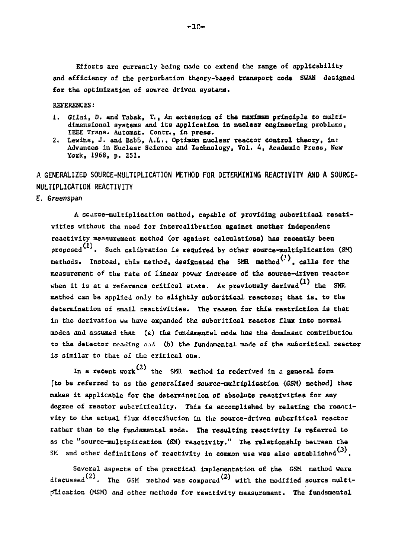**Efforts are currently being made to extend the range of applicability and efficiency of the perturbation theory-based transport code SWAN designed for the optimization of source driven systeras.** 

**REFERENCES:** 

- **1. Glial, D. and Tabak, T., An extension of the maximum principle to multidimensional systems and its application in nuclear engineering problems, IEEE Trans. Automat. Contr., In press.**
- **2, Lewihs, Jc and Babb, A.L., Optimum nuclear reactor control theory» in: Advances in Nuclear Science and Technology, Vol. 4, Academic Press, New York» 1968, p. 251.**

**A GENERALIZED SOURCE-MULTIPLICATION METHOD FOR DETERMINING REACTIVITY AND A SOURCE-MULTIPLICATION REACTIVITY** 

**E. Greenspan** 

**A scarce-multiplication method, capable of providing subcritical reactivities without the need for intercalibration against another Independent reactivity measurement method (or against calculations) has recently been proposed . Such calibration is required by other source-multiplication. (SM)**  methods. Instead, this method, designated the SMR method<sup>(')</sup>, calls for the **measurement of the rate of linear power Increase of the source-driven reactor**  when it is at a reference critical state. As previously derived<sup>(1)</sup> the SMR **method can be applied only to slightly subcritical reactors; that is, to the determination of small reactivities. The reason for this restriction is that in the derivation we have expanded the subcritical reactor flux into normal modes and assumed that (a) the fundamental mode has the dominant contribution to the detector reading a.id (b) the fundamental mode of the subcritical reactor is similar to that of the critical one.** 

In a recent work<sup>(2)</sup> the SMR method is rederived in a general form **[to be referred to as the generalized source-multiplication (GSM) method] that makes it applicable for the determination of absolute reactivities for any degree of reactor subcritlcality. This is accomplished by relating the reactivity to the actual flux distribution in the source-driven subcritical reactor rather than to the fundamental mode. The resulting reactivity is referred to as the "source-multiplication (SM) reactivity." The relationship bei-veen the**  SM and other definitions of reactivity in common use was also established<sup>(3)</sup>.

**Several aspects of the practical implementation of the GSM method were**  discussed<sup>(2)</sup>. The GSM method was compared<sup>(2)</sup> with the modified source multi**plication (MSM) and other methods for reactivity measurement. The fundamental**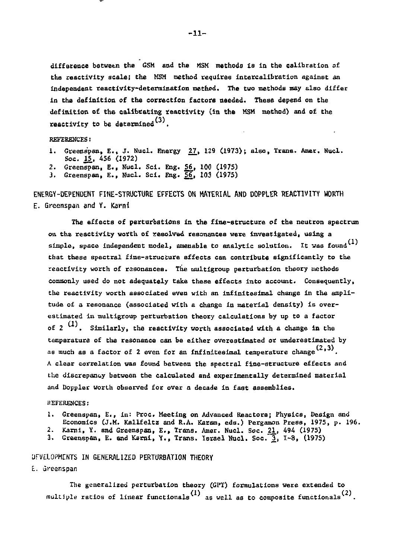difference between the GSM and the MSM methods Is in the calibration of the reactivity scale! the MSM method requires intercalibration against an independent reactivity-determination method. The two methods may also differ in the definition of the correction factors needed. These depend on the definition of the calibrating reactivity (in the MSM method) and of the reactivity to be determined $(3)$ .

REFERENCES:

- 1. Greenspan, E., J. Nucl. Energy 27, 129 (1973); also, Trans. Amer. Nucl. Soc. 15, 456 (1972)
- 2. Greenspan, E., Nucl. Sei. Eng. 56\_, 100 (1975)
- J. Greenspan, E., Nucl. Sci. Eng. 56, 103 (1975)

**ENERGY-DEPENDENT FINE-STRUCTURE EFFECTS ON MATERIAL AND DOPPLER REACTIVITY WORTH E. Greenspan and Y.** *Kami* 

The effects of perturbations in the fine-structure of the neutron spectrum on tha reactivity worth of resolved resonances were Investigated, using a simple, space independent model, amenable to analytic solution. It was found  $^{(1)}$ that these spectral fine-structure effects can contribute significantly to the reactivity worth of resonances. The multigroup perturbation theory methods commonly used do not adequately take these effects into account. Consequently, the reactivity worth associated even with an infinitesimal change in the amplitude of a resonance (associated with a change in material density) is overestimated in multigroup perturbation theory calculations by up to a factor of  $2^{(1)}$ . Similarly, the reactivity worth associated with a change in the temperature of the resonance can be either overestimated or underestimated by as much as a factor of 2 even for an infinitesimal temperature change  $(2,3)$ . A clear correlation was found between the spectral fine-structure effects and the discrepancy between the calculated and experimentally determined material and Doppler worth observed for over a decade in fast assemblies.

REFERENCES:

- 1. Greenspan, E., in: Proc. Meeting on Advanced Reactors; Physics, Design and Economics (J.M. Kallfeltz and R.A. Karsm, eds.) Pergamon Press, 1975, p. 196.
- 2. Kami, Y. and Greenspan, E., Trans. Amer. Nucl. Soc. 21., 494 (1975)
- 3. Greenspan, E. and Karni, Y., Trans. Israel Nucl. Soc. 3, I-8, (1975)

#### UFVELOPMCNTS IN GENERALIZED PERTURBATION THEORY

E. Greenspan

The generalized perturbation theory (GFT) formulations vere extended to multiple ratios of linear functionals<sup>(1)</sup> as well as to composite functionals<sup>(2)</sup>.

-11-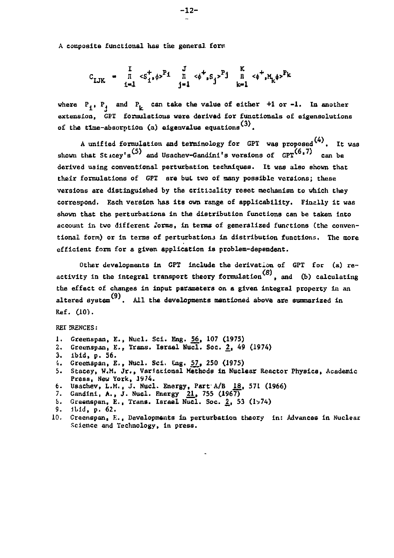**A composite functional has the genera], form** 

$$
C_{LJK} = \begin{array}{ccccc} I & J & J & K \\ \bar{I} & \langle S_1^+, \phi \rangle^{P_1} & \bar{I} & \langle \phi^+, S_j \rangle^{P_1} & \bar{I} & \langle \phi^+, H_k \phi \rangle^{P_k} \\ j=1 & j=1 \end{array}
$$

where  $P_i$ ,  $P_i$  and  $P_i$  can take the value of either  $+1$  or  $-1$ . In another **extension, GPT formulations were derived for functlonals of elgensolutIons (3) of the tlme-absorption (a) eigenvalue equationsv .** 

**A unified formulation and terminology for GPT was proposed . It was**  shown that Sticey's<sup>(5)</sup> and Usachev-Gandini's versions of GPT<sup>(6,7)</sup> can be **derived using conventional perturbation techniques. It was also shown that their formulations of GPT are bul two of many possible versions; these versions are distinguished by the critisality reset mechanism to which they correspond. Each version has its own range of applicability. Finally it was shown that the perturbations in the distribution functions can be taken into account in two different iorms, in terms of generalized functions Cthe conventional form) or in terms of perturbatlonj in distribution functions. The more efficient form for a given application is problem-dependent.** 

**Other developments in GPT include the derivation of GPT for (a) re**activity in the integral transport theory formulation<sup>(8)</sup>, and (b) calculating **the effect of changes in Input parameters on a given integral property in an chan**  altered system<sup>(9)</sup>. All the developments mentioned above are summarized in **Ref. (10)** 

#### REI ?RENCES:

- **1. Greenspan, E., Nucl. Sei. Eng. 56, 107 (1975)**
- **2. Greenspan, E., Trans. Israel Nucl. Soc. 2\_, 49 (1974)**
- **3. ibid, p. 56.**
- 4. Greenspan, E., Nucl. Sci. Eng. 57, 250 (1975)
- **5. Stacey, W.M. Jr., Variational Methods In Nuclear Reactor Physics, Academic Press, New York, 1974.**
- **6. Usachev, L.M., J. Nucl. Energy, Part A/B .18, 571 <1966)**
- 
- **7. Gandini, A., J. Nucl. Energy 21., 755 (1967) S. Greenspan, E., Trans. Israel Nucl. Soc. 2, 53 (1\*74)**
- **9. ibid, p. 62. ~**
- **10. Greenspan, E., Developments In perturbation theory in: Advances in Nuclear Science and Technology, in press.**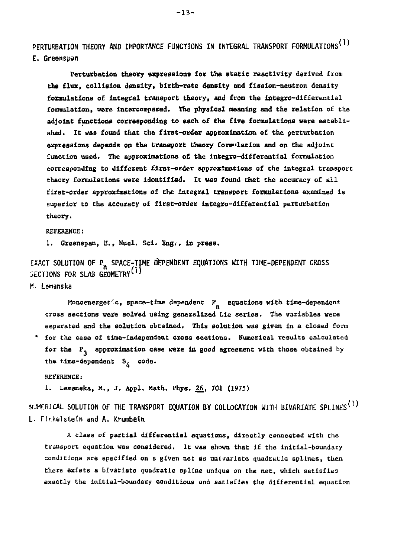**PERTURBATION THEORY AND IMPORTANCE FUNCTIONS IN INTEGRAL TRANSPORT FORMULATIONS^1' E. Greenspan** 

**Perturbation theory expressions for the static reactivity derived from the flux, collision density, birth-rate density and fission-neutron density formulations of Integral transport theory, and from the integro-differential**  formulation, were intercompared. The physical meaning and the relation of the **adjoint functions corresponding to each of the five formulations vere established. It vas found that the first-order approximation of the perturbation expressions depends on the transport theory foinitiation and on the adjoint function used. The approximations of the integro-differential formulation corresponding to different first-order approximations of the integral transport theory formulations vere identified. It was found that the accuracy of all first-order approximations of the Integral transport formulations examined is superior to the accuracy of first-order integro-differential perturbation theory.** 

#### **REFERENCE:**

**1. Greenspan, E., Nucl. Sci. Eng.-f in press.** 

**EXACT SOLUTION OF PR SPACE-TIME DEPENDENT EQUATIONS WITH TIME-DEPENDENT CROSS SECTIONS FOR SLAB GEOMETRY^** 

**M. Lemanska** 

Monoenerget<sup>'</sup>.c, space-time dependent P<sub>n</sub> equations with time-dependent cross sections were solved using generalized Lie series. The variables were separated and the solution obtained. This solution was given in a closed form \* for the case of time-independent cross sections. Numerical results calculated for the  $P_3$  approximation case were in good agreement with those obtained by the time-dependent S<sub>i</sub> code.

**the time-dependent S, code. REFERENCE:** 

**1. Lemanska» M., J. Appl. Math. Phys. 26, 701 (1975)** 

**NUMERICAL SOLUTION OF THE TRANSPORT EQUATION BY COLLOCATION WITH BIVARIATE SPLINES\*1) L. Finkelstein and A. Krumhetn** 

**A class of partial differential equations, directly connected vith the transport equation vas considered. It vas shovn that if the initial-boundary conditions are specified on a given net as univariate quadratic splines, then there exists a bIvariate quadratic spline unique on the net, which satisfies exactly the initial-boundary conditions and satisfies the differential equation**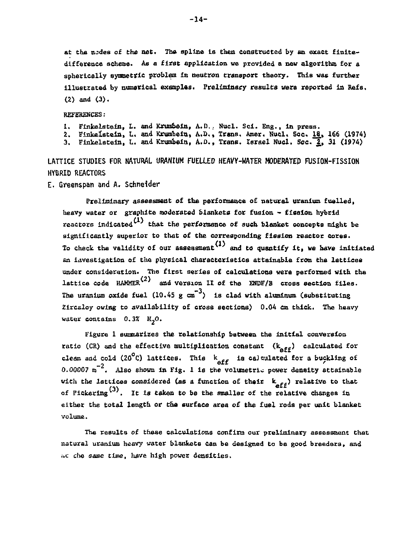**at the nodes of the net. The spline is then constructed by an exact finitedifference scheme. As a first application we provided a new algorithm for a spherically symmetric problem in neutron transport theory. This was further illustrated by numerical examples. Preliminary results were reported in Refs. (2) and (3).** 

**REFERENCES:** 

**1. Finkelstein, L. and Krumbein, A.D. . Nucl. Sel. Eng., In press.** 

**2. Finkelstein, L. and Krumbein, A.D., Trans. Amer. Duel. Soc.** *IS\_, 166* **(1974) 3. Finkelstein, L. and Krumbein, A.D., Trans. Israel Nucl. Soc. 2,, 31 (1974)** 

**LATTICE STUDIES FOR NATURAL URANIUM FUELLED HEAVY-WATER MODERATED FUSION-FISSION HYBRID REACTORS** 

**E. Greenspan and A. Schneider** 

**Prelljnlnary assessment o£ the performance of natural uranium fuelled,**  heavy water or graphite moderated blankets for fusion ~ fission hybrid reactors indicated<sup>(1)</sup> that the performance of such blanket concepts might be **significantly superior to that of the corresponding fission reactor cores. To check the validity of our assessment1 and to quantify it, we have initiated an investigation of the physical characteristics attainable from the lattices under consideration. The first series of calculations were performed with the**  lattice code  $HAMER$ <sup>(2)</sup> and version II of the ENDF/B cross section files. The uranium oxide fuel  $(10.45 \text{ g cm}^{-3})$  is clad with aluminum (substituting **Zircaloy owing to availability of cross sections) 0.04 cm thick. The heavy water contains 0.3% H,0.** 

**Figure 1 summarizes the relationship between the initial conversion**  ratio (CR) and the effective multiplication constant ( $k_{\text{aff}}$ ) calculated for clean and cold  $(20^{\circ}$ C) lattices. This  $k_{\text{aff}}$  is calculated for a buckling of **Also shown in Fig. 1 is the volumetric power density attainable**  with the lattices considered (as a function of their  $k_{\text{aff}}$ ) relative to that of Pickering<sup>(3)</sup>. It is taken to be the smaller of the relative changes in either the total length or the surface area of the fuel rods per unit blanket **either the total length or the surface area of the fuel rods per unit blanket** 

**The results of these calculations confirm our preliminary assessment that natural uranium heavy water blankets can be designed to be good breeders, and i»c die** *same* **time, have high power densities.** 

**-14-**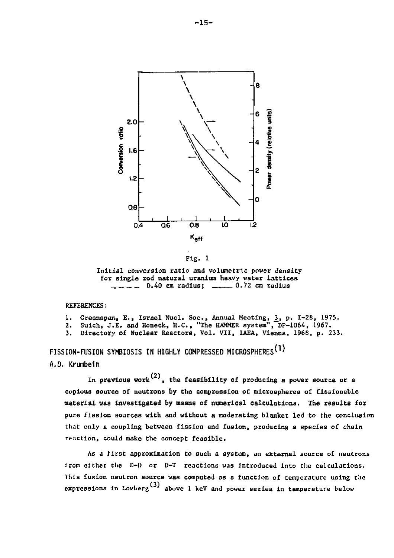

Fig. 1

Initial conversion ratio and volumetric power density for single rod natural uranium heavy water lattices  $\frac{1}{2}$   $\frac{1}{2}$  0.40 cm radius;  $\frac{1}{2}$  .72 cm radius

REFERENCES:

- 
- 1. Greenspan, E., Israel Nucl. Soc., Annual Meeting, <u>3</u>, p. I–28, 1975.<br>2. Suich, J.E. and Honeck, H.C., "The HAMMER system", DP-1064, 1967.
- 3. Directory of Nuclear Reactors, Vol. VII, IAEA, Vienna. 1968, p. 233.

**FISSION-FUSION SYMBIOSIS IN HIGHLY COMPRESSED MICROSPHERES^<sup>1</sup>\* A.D. Krumbeln** 

In previous work<sup>(2)</sup>, the feasibility of producing a power source or a copious source of neutrons by the compression of microspheres of fissionable material was Investigated by means of numerical calculations. The results for pure fission sources with and without a moderating blanket led to the conclusion that only a coupling between fission and fusion, producing a species of chain reaction, could make the concept feasible.

As a first approximation to such a system, an external source of neutrons from either the D-D or D-T reactions was introduced into the calculations. This fusion neutron source was computed as a function of temperature using the expressions in Lovberg $^{(3)}$  above 1 keV and power series in temperature below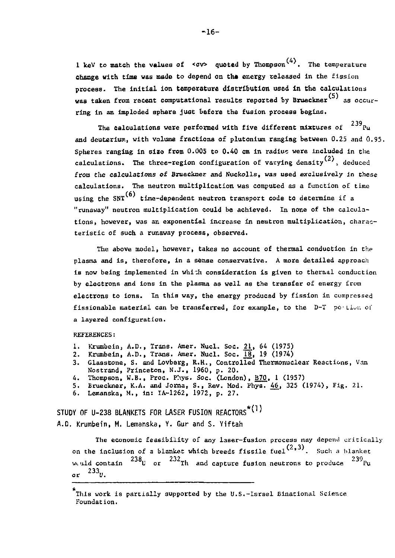1 keV to match the values of  $\langle \sigma v \rangle$  quoted by Thompson<sup>(4)</sup>. The temperature change with time was made to depend on the energy released in the fission process. The initial ion temperature distribution used In the calculations was taken from recent computational results reported by Brueckner<sup>(5)</sup> as occurring in an imploded sphere just before the fusion process begins.

The calculations were performed with five different mixtures of  $239_{\text{Pu}}$ and deuterium, with volume fractions of plutonium ranging between 0.25 and 0.95. Spheres ranging in size from 0.005 to 0.40 cm in radius were included in the cal**c**ulations. The three-region configuration of varying density  $\cdot\cdot\cdot$ , deduced from the calculations of Brueckner and Nuckolls, was used exclusively in these calculations. The neutron multiplication was computed as a function of time using the  $SNT^{(6)}$  time-dependent neutron transport code to determine if a "runaway" neutron multiplication could be achieved. In none of the calculations» however, was an exponential increase in neutron multiplication, characteristic of such a runaway process, observed.

The above model, however, takes no account of thermal conduction in the plasma and Is, therefore, in a sense conservative. A more detailed approach is now being implemented in whi-h consideration is given to thermal conduction by electrons and ions in the plasma as well as the transfer of energy from electrons to ions. In this way, the energy produced by fission in compressed fissionable material can be transferred, for example, to the D-T portion of a layered configuration.

REFERENCES:

- 
- 1. Krumbein, A.D., Trans. Amer. Nucl. Soc. <u>21</u>, 64 (1975)<br>2. Krumbein, A.D., Trans. Amer. Nucl. Soc. <u>18</u>, 19 (1974)
- 3. Glasstone, S. and Lovberg, R.R., Controlled Thermonuclear Reactions, Van Nostrand, Princeton, N.J., 1960, p. 20.
- 4. Thompson, W.B., Proc. Phys. Soc. (London), B70, I (1957)
- 5. Brueckner, K.A. and Jorna, S., Rev. Mod. Phys. 46, 325 (1974), Fig. 21.
- 6. Lemanska, M., in: IA-1262, 1972, p. 27.

STUDY OF U-238 BLANKETS FOR LASER FUSION REACTORS\*(1) A.O. Krumbein, M. Lemanska, Y. Gur and S. Yiftah

The economic feasibility of any laser-fusion process may depend critically on the inclusion of a blanket which breeds fissile fuel<sup>(2,3)</sup>. Such a blanket weuld contain  $238<sub>U</sub>$  or  $232<sub>T</sub>$  and capture fusion neutrons to produce  $239<sub>Pu</sub>$  $233_{11}$ 

This work is partially supported by the  $U.S.-$  Israel Binational Science Foundation.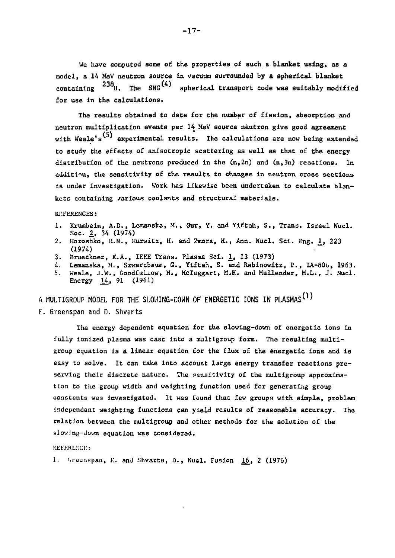We have computed some of the properties of such a blanket using, as a model, a 14 MeV neutron source in vacuum surrounded by a spherical blanket  $\text{containing}$   $^{238}$ <sup>[1]</sup> The SNG<sup>(4)</sup> spherical transport code was suitably modified for use in the calculations.

The results obtained to date for the number of fission, absorption and neutron multiplication events per 14 MeV source neutron give good agreement with Weale's<sup>(5)</sup> experimental results. The calculations are now being extended to study the effects of anisotropic scattering as well as that of the energy distribution of the neutrons produced in the  $(n, 2n)$  and  $(n, 3n)$  reactions. In addition., the sensitivity of the results to changes in neutron cross sections is under investigation. Work has likewise been undertaken to calculate blankets containing various coolants and structural materials.

REFERENCES:

- 1. Krumbein, A.D., Lemanska, M., Gur, Y. and Yiftah, S., Trans. Israel Nucl. Soc. *2,* 34 (1974)
- 2. Horoshko, R.N., Hurwitz, H. and Zmora, H., Ann. Nucl. Sci. Eng. 1, 223 (1974)
- 3. Brueckner, K.A., IEEE Trans. Plasma Sci. 1, 13 (1973)
- 4. Lemanska, M., Szwarcbaum, G., Yiftah, S. and Rabinowitz, P., IA-800, 1963. 5. Weale, J.W., Goodfeliow, H., McTaggart, M.H. and Mullender, M.L., J. Nucl. Energy 14, 91 (1961)

A MULTIGROUP MODEL FOR THE SLOWING-DOWN OF ENERGETIC IONS IN PLASMAS<sup>(1)</sup>

E. Greenspan and D. Shvarts

The energy dependent equation for the slowing-down of energetic ions in fully ionized plasma was cast into a multigroup form. The resulting multigroup equation is a linear equation for the flux of the energetic ions and is easy to solve. It can take into account large energy transfer reactions preserving their discrete nature. The sensitivity of the multigroup approximation to the group width and weighting function used for generating group constants was investigated. It was found that few groups with simple, problem Independent weighting functions can yield results of reasonable accuracy. The relation between the multigroup and other methods for the solution of the sJoving-down equation was considered.

KEfEkL.\'CE:

1. Greenspan, E. and Shvarts, D., Nucl. Fusion 16, 2 (1976)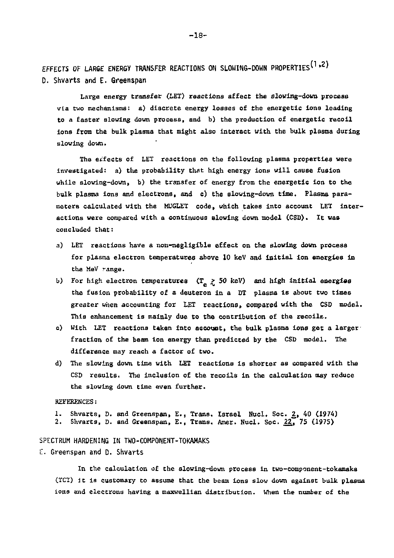**EFFECTS OF LARGE ENERGY TRANSFER REACTIONS ON SLOUING-DOWN PROPERTIES^<sup>1</sup> ^ D. SKvarts and E. Greenspan** 

Large energy transfer (LET) reactions affect the slowing-down process via two mechanisms: a) discrete energy losses of the energetic ions leading to a faster slowing down process, and b) the production of energetic recoil Ions from the bulk plasma that might also interact With the bulk plasma during slowing down.

The effects of LET reactions on the following plasma properties were investigated: a) the probability that high energy ions will cause fusion while slowing-down, b) the transfer of energy from the energetic ion to the bulk plasma ions and electrons, and c) the slowing-dovn time. Plasma parameters calculated with the MUGLET code, which takes into account LET interactions were compared with a continuous slowing down model (CSD). It was concluded that:

- a) LET reactions have a non-negligible effect on the slowing down process for plasma electron temperatures above 10 keV and initial ion energies in the MeV range.
- b) For high electron temperatures  $(T_{\alpha} \geq 50 \text{ keV})$  and high initial energies the fusion probability of a deuteron in a DT plasma is about two times greater when accounting for LET reactions, compared with the CSD model. This enhancement is mainly due to the contribution of the recoils.
- c) With LET reactions taken into account, the bulk plasma ions get a larger fraction of the beam ion energy than predicted by the GSD model. The difference may reach a factor of two.
- d) The slowing down time with LET reactions is shorter as compared with the CSD results. The inclusion of the recoils in the calculation may reduce the slowing down time even further.

#### REFERENCES:

- 1. Shvarts, D. and Greenspan, E., Trans. Israel Nucl, Soc. £, 40 (1974)
- 2. Shvarts, D. and Greenspan, E., Trans. Amer. Nucl. Soc. 227 75 (1975)

#### SPECTRUM HARDENING IN TW0-C0MP0NENT-T0KAMAKS

#### E. Greenspan and D. Shvarts

In the calculation of the slowing-down process In two-component-tokamaks (TCT) it ia customary to assume that the beam ions slow down against bulk plasma ions and electrons having a maxwellIan distribution, when the number of the

**-18-**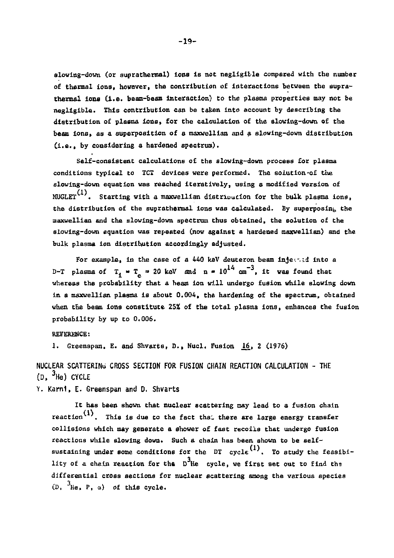**sloving-down (or suprathermal) ions is not negligible compared with the number**  of thermal ions, however, the contribution of interactions between the supra**thermal ions (i.e. beam-beam interaction) to the plasma properties may not be negligible. This contribution can be taken into account by describing the distribution of plasma ions, for the calculation of the sloving-down of the beam ions» as a superposition of a maxwellian and a sloving-down distribution (i.e., by considering a hardened spectrum).** 

**Self-consistent calculations of the slowlng-down process for plasma conditions typical to TCX devices were performed. The solution-of the slowing-down equation was reached iteratively, using a modified version of MUGLET . Starting with a maxwellian distrioucion for the bulk plasma ions, the distribution of the suprathermal ions was calculated. By superposing the maxwellian and Che siowing-down spectrum thus obtained, the solution of the slowing-down equation was repeated (now against a hardened maxwellian) and the bulk plasma ion distribution accordingly adjusted.** 

For example, in the case of a 440 keV deuteron beam injected into a **D-T** plasma of  $T_1 = T_2 = 20$  keV and  $n = 10^{14}$  cm<sup>-3</sup>, it was found that **whereas the probability that a beam ion will undergo fusion while slowing down in a maxwellian plasma is about 0.004, the hardening of the spectrum, obtained when the beam ions constitute 25% of the total plasma ions, enhances the fusion probability by up to 0.006.** 

#### **REFERENCE:**

1. Greenspan, E. and Shvarts, D., Nucl. Fusion 16, 2 (1976)

**NUCLEAR SCATTERING CROSS SECTION FOR FUSION CHAIN REACTION CALCULATION - THE (D, <sup>3</sup> H e) CYCLE** 

**Y. Kami, E. Greenspan and D. Shvarts** 

**It has been shown that nuclear scattering may lead to a fusion chain reaction . This is due to the fact tha. there are large energy transfer collisions which may generate a shower of fast recoils that undergo fusion reactions while slowing down. Such a chain has been shown to be self**sustaining under some conditions for the DT cycle<sup>(1)</sup>. To study the feasibi-**3 lity of a chain reaction for tha D He cycle, we first set out to find tha differential cross sections for nuclear scattering among the various species**   $(D, \frac{3}{2}$ He, P,  $\alpha)$  of this cycle.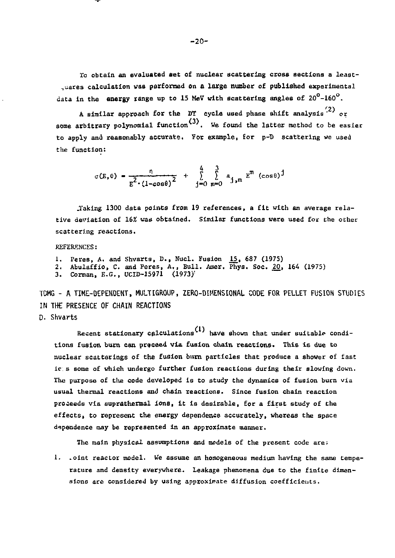Xo obtain an evaluated set of nuclear scattering cross sections a least- ..uares calculation was performed **on** a **large number** of **published** experimental data in the **energy** range up to 15 MeV with scattering angles of 20°-160°.

*'1\*  A similar approach for the DT cycle used phase shift analysis ' or some arbitrary polynomial function<sup>(3)</sup>. We found the latter method to be easier to apply and reasonably accurate. For example, for p-D scattering we used the function:

$$
\sigma(E, \theta) = \frac{n}{E^2 \cdot (1 - \cos \theta)^2} + \sum_{j=0}^{4} \sum_{m=0}^{3} a_{j,m} E^m (\cos \theta)^j
$$

.Taking 1300 data points from 19 references» a fit with an average relative deviation of *16%* was obtained. Similar functions were used for the other scattering reactions.

REFERENCES:

- 1. Peres, A. and Shvarts, D., Nucl. Fusion \_15\_, 687 (1975)
- 2. Abulaffio, C. and Peres, A., Bull. Amer. Phys. Soc.  $20$ , 164 (1975)
- 3. Gorman, E.G., UCID-15971 (1973)!

TDMG - A TIME-DEPENDENT, MULTIGROUP, ZERO-DIMENSIONAL CODE FOR PELLET FUSION STUDIES IN TH£ PRESENCE OF CHAIN REACTIONS

D. Shvarts

Recent stationary calculations<sup>(1)</sup> have shown that under suitable conditions fusion burn can proceed via fusion chain reactions. This is due to nuclear scatterings of the fusion burn particles that produce a shower of fast ic s some of which undergo further fusion reactions during their slowing down. The purpose of the code developed Is to study the dynamics of fusion burn via usual thermal reactions and chain reactions. Since fusion chain reaction proceeds via suprathermal ions, It is desirable, for a first study of the effects, to represent the energy dependence accurately, whereas the space dependence may be represented in an approximate manner.

The main physical assumptions and models of the present code are;

1. .oint reactor model. We assume an homogeneous medium having the same temperature and density everywhere. Leakage phenomena due to the finite dimensions are considered by using approximate diffusion coefficients.

-20-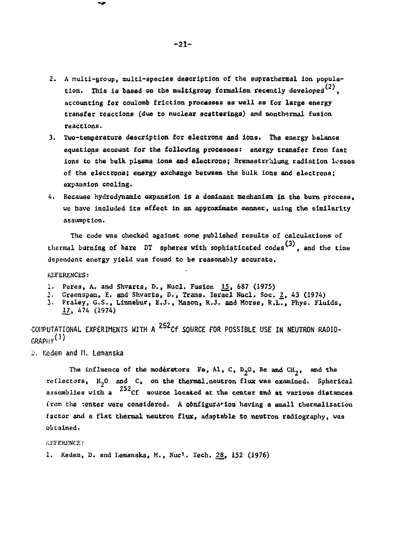- **2. A multi-group, mulcl-species description of the suprathermal Ion popula**tion. This is based on the multigroup formalism recently developed<sup>(2)</sup>, **accounting for coulomb friction processes as well as for large energy transfer reactions (due to nuclear scatterings) and nonthermal fusion reactions.**
- **3. Tvo-temperature description for electrons and ions. The energy balance equations account for the following processes: energy transfer from fast ions to the bulk plasma ions and electrons; Bremsstrehlung radiation leases of the electrons; energy exchange between the bulk ions and electrons; expansion cooling.**
- **4. Because hydrodynamlc expansion is a. dominant mechanism in the burn process, we have included its effect in an approximate manner, using the similarity assumption.**

**The code was checked against some published results of calculations o£**  thermal burning of b<mark>are</mark> DT spheres with sophisticated codes<sup>(3)</sup>, and the time **dependent energy yield was found to be reasonably accurate.** 

**REFERENCES:** 

- **1. Peres, A. and Shvarts, D., Nucl. Fusion 15\_, 687 (1975)**
- 
- 2. Greenspan, E. and Shvarts, D., Trans. Israel Nucl. Soc. <u>2</u>, 43 (1974)<br>3. Fraley, G.S., Linnebur, E.J., Mason, R.J. and Morse, R.L., Phys. Fluids, **\_W, 474 (1974)**

COMPUTATIONAL EXPERIMENTS WITH A <sup>252</sup>Cf SOURCE FOR POSSIBLE USE IN NEUTRON RADIO-GRAPHY<sup>(1)</sup>

*D.* **Kedem and M. Lemanska** 

The influence of the moderators Fe, Al, C, D<sub>2</sub>O, Be and CH<sub>2</sub>, and the **reflectors, H~0 and C, on the thermal.neutron flux was examined. Spherical 252 assemblies with, a Cf source located at the center and at various distances from the tenter were considered. A configuration having a small thermalizatIon factor and a flat thermal neutron flux, adaptable to neutron radiography, was obtained.** 

**REFERENCE:** 

**1. Kedera, D. and Lemanska, M., Nucl. Tech.** *2£t* **152 (1976)**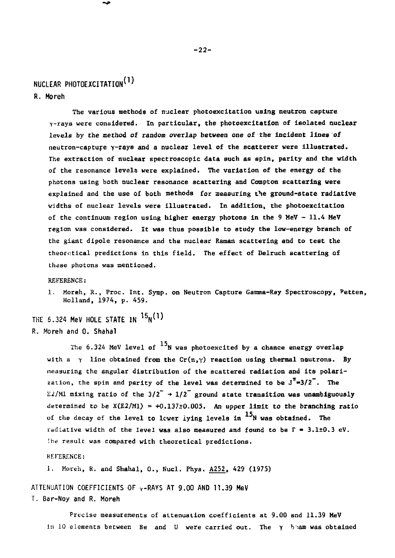## **NUCLEAR PHOTOEXCITATIOlr1'**

**R. Moreh** 

**The various methods of nuclear photoexcitation using neutron capture y-rays were considered. In particular, the photoexcitation of isolated nuclear levels by the method of random overlap between one of the incident lines of neutron-capture y-rays and a nuclear level of the scatterer vere illustrated. The extraction of nuclear spectroscopic data such as spin, parity and the width of the resonance levels were explained. The variation of the energy of the photons using both nuclear resonance scattering and Compton scattering were explained and the use of both methods for measuring the ground-state radiative widths of nuclear levels were illustrated. In addition» the photoexcitation of the continuum region using higher energy photons in the 9 MeV - 11.4 HeV**  region was considered. It was thus possible to study the low-energy branch of **the giant dipole resonance and the nuclear Raman scattering and to test the theoretical predictions in this field. The effect of Delruch scattering of these photons was mentioned.** 

**REFERENCE:** 

**1. Moreh, R., Proc. Int. Symp. on Neutron Capture Gamma-Ray Spectroscopy, Petten, Holland, 1974, p. 459.** 

**THE 6.324 MeV HOLE STATE IN <sup>15</sup> N ^ R. Moreh and 0. Shahal** 

> The 6.324 MeV level of <sup>15</sup>N was photoexcited by a chance energy overlap **with a** *y* **line obtained from the Cr(n,y) reaction using thermal neutrons. By measuring the angular distribution of the scattered radiation and its polari**zation, the spin and parity of the level was determined to be  $J^{\pi} = 3/2$ . The  $E2/M1$  mixing ratio of the  $3/2^+ + 1/2^-$  ground state transition was unambiguously **determined to be X(E2/M1) = +O.137±0.005. An upper limit to the branching ratio**  of the decay of the level to lower lying levels in <sup>15</sup>N was obtained. The **radiative width of the level was also measured and found to be** *T* **- 3.1±0.3 eV. Ihe result was compared with theoretical predictions.**

**REFERENCE:** 

**1. Moreh, R. and Shahal, 0., Nucl. Phys. A252, 429 (1975)** 

**ATTENUATION COEFFICIENTS OF 7-RAYS AT 9.00 AND 11.39 MeV T. Bar-Noy and R. Moreh** 

**Precise measurements of aLtenuation coefficients at 9.00 and 11.39 MeV in 10 elements between Be and U were carried out. The** *y* **biam was obtained**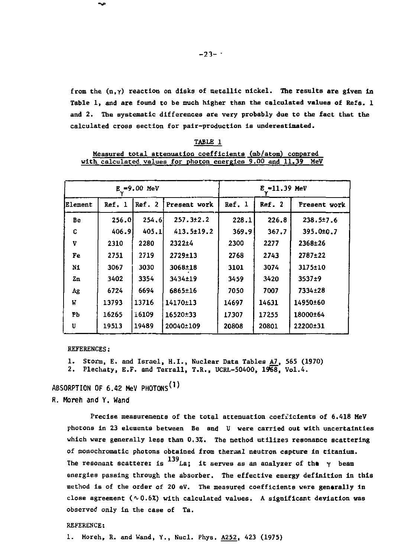from the  $(n, \gamma)$  reaction on disks of metallic nickel. The results are given in Table 1, and are found to be much higher than the calculated values of Refs. 1 and 2. The systematic differences are very probably due to the fact that the calculated cross section for pair-production is underestimated.

|         |        | E =9.00 MeV |                  | E ≈11.39 MeV |        |              |
|---------|--------|-------------|------------------|--------------|--------|--------------|
| Element | Ref. 1 | Ref. 2      | Present work     | Ref. 1       | Ref. 2 | Present work |
| Be      | 256.0  | 254.6       | 257.3±2.2        | 228.1        | 226.8  | 238.5±7.6    |
| c       | 406.9  | 405.1       | $413.5 \pm 19.2$ | 369.9        | 367.7  | 395.0±0.7    |
| V       | 2310   | 2280        | 2322±4           | 2300         | 2277   | 2368±26      |
| Fe      | 2751   | 2719        | 2729±13          | 2768         | 2743   | $2787 + 22$  |
| NI      | 3067   | 3030        | 3068±18          | 3101         | 3074   | 3175±10      |
| Zn      | 3402   | 3354        | 3434±19          | 3459         | 3420   | $3537+9$     |
| Αg      | 6724   | 6694        | 6865±16          | 7050         | 7007   | 7334±28      |
| W       | 13793  | 13716       | 14170±13         | 14697        | 14631  | 14950±60     |
| PЪ      | 16265  | ï6109       | 16520±33         | 17307        | 17255  | 18000±64     |
| U       | 19513  | 19489       | 20040±109        | 20808        | 20801  | 22200±31     |

| . .<br>ARI |  |
|------------|--|
|            |  |

|  |  | Measured total attenuation coefficients (mb/atom) compared        |  |  |
|--|--|-------------------------------------------------------------------|--|--|
|  |  | with calculated values for photon energies $9.00$ and $11.39$ MeV |  |  |

REFERENCES:

1. Storm, E. and Israel, H.I., Nuclear Data Tables A7, 565 (1970)

2. Plechaty, E.F. and Terrall, T.R., UCRL-50400, 1968, Vol.4.

ABSORPTION OF  $6.42$  MeV PHOTONS<sup>(1)</sup>

R. Moreh and Y. Wand

Precise measurements of the total attenuation coefficients of 6.418 MeV photons in 23 elements between Be and U were carried out with uncertainties which were generally less than 0.3%. The method utilizes resonance scattering of monochromatic photons obtained from theraal neutron capture in titanium. The resonant scatterer is  $^{139}$  La; it serves as an analyzer of the  $\gamma$  beam energies passing through the absorber. The effective energy definition in this method is of the order of 20 eV. The measured coefficients were generally in close agreement  $(0.6x)$  with calculated values. A significant deviation was observed only in the case of Ta.

#### REFERENCE:

1. Moreh, R. and Wand, Y., Nucl. Phys. A252, 423 (1975)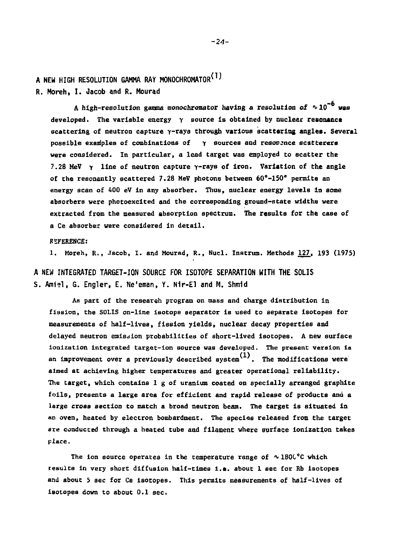**A NEW HIGH RESOLUTION GAMMA RAY MONOCHROMATORv'' R. Moreh, I. Jacob and R. Mourad** 

**A high-resolution gauma monochrooator having a resolution of ^10" vas developed. The variable energy** *y* **source is obtained by nuclear resonance scattering of neutron capture y-rays through various scattering angles. Several possible examples of combinations of** *y* **sources and resonance scatterers were considered. In particular, a lead target was employed to scatter the 7.28 MeV** *y* **line of neutron capture y-rays of iron. Variation of the angle of the resonantly scattered 7.28 MeV photons between 60\*-150° permits an energy scan of 400 eV in any absorber. Thus, nuclear energy levels in some absorbers were photoexcited and the corresponding ground-state widths were extracted from the measured absorption spectrum. The results for the case of a Ce absorber were considered in detail.** 

**REFERENCE:** 

**1. Moreh, R., Jacob, I. and Mourad, R., Nucl. Instrum. Methods 127. 193 (1975)** 

**A NEW INTEGRATED TARGET-ION SOURCE FOR ISOTOPE SEPARATION WITH THE SOLIS S. Amiel, G. Engler, E. Ne'eman, Y. Nir-El and H. Shmid** 

**As part of the research program on mass and charge distribution in fission, the SOLIS on-line isotope separator is used to separate isotopes for measurements of half-lives, fission yields, nuclear decay properties and delayed neutron emission probabilities of short-lived isotopes. A new surface Ionization integrated target-ion source was developed. The present version is an Improvement over a previously described system . The modifications were aimed at achieving higher temperatures and greater operational reliability. The target, which contains 1 g of uranium coated on specially arranged graphite foils, presents a large area for efficient and rapid release of products and a large cross section to match a broad neutron beam. The target is situated in an oven, heated by electron bombardment. The species released from the target are conducted through a heated tube and filament where surface ionization takes place.** 

The ion source operates in the temperature range of  $\sim 1800^{\circ}$ C which **results In very Bhort diffusion half-times i.e. about 1 sec for Rb isotopes and about 5 sec for Cs isotopes. This permits measurements of half-lives of Isotopes down to about 0.1 sec.**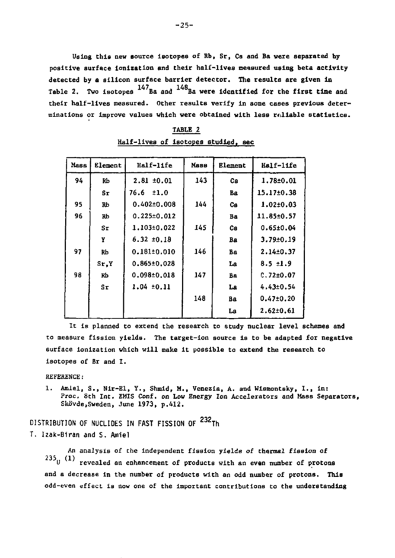**Using this new source isotopes of Rb, Sr, Cs and Ba were separated by positive surface ionization and their half-lives measured using beta activity detected by a silicon surface barrier detector. The results are given in**  Table 2. Two isotopes <sup>147</sup>Ba and <sup>148</sup>Ba were identified for the first time and their half-lives measured. Other results verify in some cases previous determinations or improve values which were obtained with less reliable statistics.

**minations or Improve values which were obtained with less reliable statistics.** 

| Mass | Element | Half-life         | Mase | Element | Half-life       |
|------|---------|-------------------|------|---------|-----------------|
| 94   | Rb      | $2.81 \pm 0.01$   | 143  | Cв      | $1.78 + 0.01$   |
|      | Sr      | 76.6 ±1.0         |      | Ba      | 15.17±0.38      |
| 95   | Rb      | $0.402 \pm 0.008$ | 144  | Cв      | $1.02 + 0.03$   |
| 96   | Rb      | $0.225 \pm 0.012$ |      | Ba      | 11.85±0.57      |
|      | Sт      | 1.103±0.022       | 145  | Cв      | $0.65 + 0.04$   |
|      | Y       | $6.32 \pm 0.18$   |      | Bа      | $3.79 \pm 0.19$ |
| 97   | Rb      | $0.181 \pm 0.010$ | 146  | Ва      | $2.14 + 0.37$   |
|      | Sr.Y    | $0.865 \pm 0.028$ |      | La      | $8.5 + 1.9$     |
| 98   | RЬ      | $0.098 \pm 0.018$ | 147  | Bа      | $0.72 \pm 0.07$ |
|      | Sτ      | $1.04 \pm 0.11$   |      | La      | $4.43 \pm 0.54$ |
|      |         |                   | 148  | Bа      | $0.47 + 0.20$   |
|      |         |                   |      | La      | $2.62 \pm 0.61$ |
|      |         |                   |      |         |                 |

**TABLE 2 Half-lives of isotopes studied, sec** 

**It is planned to extend the research to study nuclear level schemes and to measure fission yields. The target-ion source is to be adapted for negative surface ionization which will make it possible to extend the research to isotopes of Br and I.** 

**REFERENCE:** 

**1. Amiel, S., Nir-El, Y., Shmid, M.t Venezia, A. and Wismontsky, I., in: Proc, 8th Int. EMIS Conf. on Low Energy Ion Accelerators and Mass Separators, Skovde,Sweden, June 1973» p.412.** 

**DISTRIBUTION OF NUCLIDES IN FAST FISSION OF <sup>232</sup> T h T. Izak-Biran and S. Amiel** 

**An analysts of the Independent fission yields of thermal fission** *of*   $235<sub>U</sub>$  (1) revealed an enhancement of products with an even number of protons and a decrease in the number of products with an odd number of protons. This odd-even effect is now one of the important contributions to the understanding **odd-even effect is now one of the important contributions to the understanding**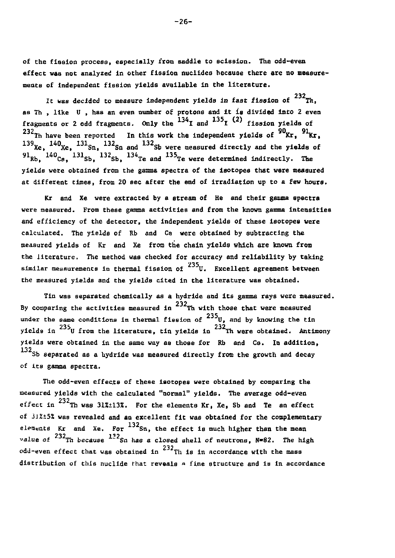**of the fission process, especially from Baddle to scission. The odd-even effect was not analyzed In other fission nuclides because there are no measurements of Independent fission yields available in the literature.** 

It was decided to measure independent yields in fast fission of  $^{232}\!{\rm Tr}$ , **as Th , like U , has an even number of protons and It is divided Into 2 even**  fragments or 2 odd fragments. Only the  $^{134}$ I and  $^{135}$ I  $(2)$  fission yields of <sup>232</sup>Th have been reported In this work the independent yields of <sup>90</sup>Kr, <sup>91</sup>Kr.  $T_{\rm Xe}$ ,  $140$ <sub>Xe</sub>,  $131$ <sub>Sn</sub>,  $132$ <sub>Sn</sub> and  $132$ <sup>Sh</sup> were measured directly and the yields of 91<sub>Rb</sub>, 140<sub>Cs</sub>, 131<sub>Sb</sub>, 132<sub>Sb</sub>, 134<sub>Te and</sub> 135<sub>Te were determined indirectly. The</sub> **91elds were obtained from the gamma spectra of the isotopes that were mea** at different times, from 20 sec after the end of irradiation up to a few hours.

Kr and Xe were extracted by a stream of He and their gamma spectra Were measured. From these gamma activities and from the known gamma intensities and efficiency of the detector, the independent yields of these isotopes were calculated. The yields of Rb and Cs were obtained by subtracting the measured yields of Kr and Xe from the chain yields which are known from the literature. The method was checked for accuracy and reliability by taking similar measurements in thermal fission of <sup>235</sup>U. Excellent agreement between the measured yields and the yields cited in the literature was obtained. **the measured yields and the yields cited in the literature was obtained.** 

**Tin was separated chemically as a hydride and its gamma rays were measured.**  By comparing the activities measured in <sup>232</sup>Th with those that were measured under the same conditions in thermal fission of <sup>235</sup>U, and by knowing the tin yields in <sup>235</sup>U from the literature, tin yields in <sup>232</sup>Th were obtained. Antimony **yields ln U from the literature, tin yields in Th were obtained. Antimony yields were obtained In the same way as those for Rb and Cs. In addition, 132 Sb separated as a hydride was measured directly from the growth and decay of its gamma spectra.** 

**The odd-even effects of these isotopes were obtained by comparing the measured yields with the calculated "normal" yields. The average odd-even 232 effect In Th was 31%±13%. For the elements Kr, Xe, 5b and Te an effect of** *il%±5%* **was revealed and an excellent fit was obtained for the complementary 132 elements Kr and Xe, For Sn, the effect is much higher than the mean**  value of <sup>232</sup>Th because <sup>122</sup>Sn has a closed shell of neutrons, N=82. The high and the because of the closed shell of neutronB, N-82. The high distribution of the mass of the cordance with the mass **distribution of this nuclide that reveals « fine structure and is in accordance**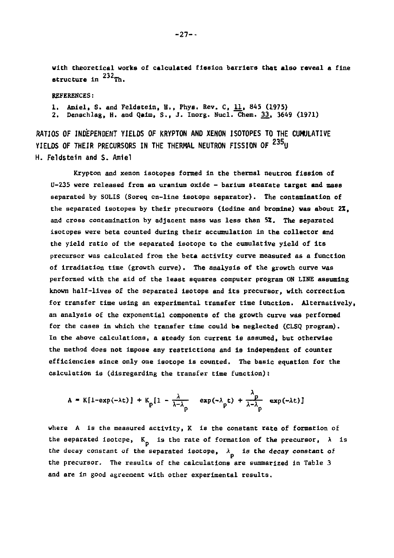**with theoretical works of calculated fission barriers that also reveal a fine structure in**  $^{232}$ **Th.** 

**REFERENCES:** 

**1. Amiel, S. and Feldsteln, H., Phys. Rev. C, 11, 845 (1975) 2. Denechlag, H. and Qalm, S., J. Inorg. Nucl. Chem. 33, 3649 (1971)** 

**RATIOS** *OF* **INDEPENDENT YIELDS OF KRYPTON AND XENON ISOTOPES TO THE CUMULATIVE YIELDS OF THEIR PRECURSORS IN THE THERMAL NEUTRON FISSION OF <sup>235</sup> U H. Feldstein and S. Amiel** 

**Krypton and xenon isotopes formed in the thermal neutron fission of U-235 were released from an uranium oxide - barium stearate target and masa separated by SOLIS (Soreq on-line isotope separator). The contamination of the separated isotopes by their precursors (iodine and bromine) was about 2Z, and cross contamination by adjacent mass was less than 52. The separated Isotopes were beta counted during their accumulation in the collector and the yield ratio of the separated isotope to the cumulative yield of its precursor was calculated from the beta activity curve measured as a function of irradiation time (growth curve). The analysis of the growth curve was performed with the aid of the least squares computer program ON LINE assuming known half-lives of the separated Isotope and its precursor, with correction for transfer time using an experimental transfer time function. Alternatively, an analysis of the exponential components of the growth curve was performed for the cases in which the transfer time could be neglected (CLSQ program). In the above calculations, a steady ion current is assumed, but otherwise the method does not impose any restrictions and is Independent of counter efficiencies since only one isotope is counted. The basic equation for the calculation is (disregarding the transfer time function)t** 

$$
A = K[1-exp(-\lambda t)] + K_p[1 - \frac{\lambda}{\lambda - \lambda_p} exp(-\lambda_p t) + \frac{\lambda_p}{\lambda - \lambda_p} exp(-\lambda t)]
$$

**where A is the measured activity, K is the constant rate of formation of**  the separated isotope,  $K_n$  is the rate of formation of the precursor,  $\lambda$  is the decay constant of the separated isotope,  $\lambda_{\rm p}$  is the decay constant of **the precursor. The results of the calculations are summarized in Table 3 and are In good agreement with other experimental results.**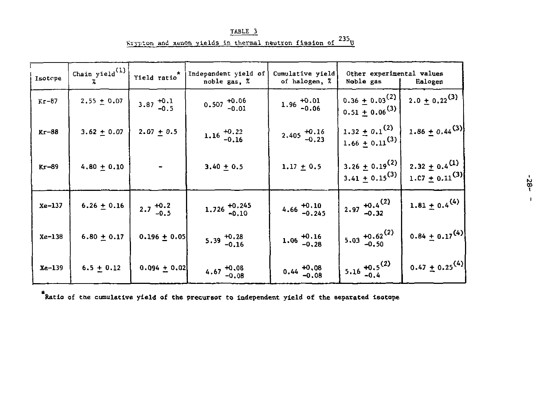TABLE 3 Krypton and xenon yields in thermal neutron fission of  $^{235}$ U

| Isotope | Chain yield $\binom{1}{x}$ | Yield $ratio^*$      | Independent yield of<br>noble gas, % | Cumulative yield<br>of halogen. %                   | Other experimental values<br>Noble gas                 | Halogen                                                         |
|---------|----------------------------|----------------------|--------------------------------------|-----------------------------------------------------|--------------------------------------------------------|-----------------------------------------------------------------|
| $Kr-87$ | $2.55 \pm 0.07$            | $3.87^{+0.1}_{-0.5}$ | $0.507$ $^{+0.06}_{-0.01}$           | $1.96 \begin{array}{l} +0.01 \\ -0.06 \end{array}$  | $0.36 \pm 0.03^{(2)}$<br>$0.51 \pm 0.06^{(3)}$         | $2.0 \pm 0.22$ <sup>(3)</sup>                                   |
| $Kr-88$ | $3.62 + 0.07$              | $2.07 + 0.5$         | 1.16 $^{+0.22}_{-0.16}$              | $2.405 \begin{array}{l} +0.16 \\ -0.23 \end{array}$ | $1.32 \pm 0.1$ <sup>(2)</sup><br>$1.66 \pm 0.11^{(3)}$ | $1.86 \pm 0.44$ <sup>(3)</sup>                                  |
| $Kr-89$ | $4.80 + 0.10$              |                      | $3.40 + 0.5$                         | $1.17 + 0.5$                                        | $3.26 \pm 0.19^{(2)}$<br>$3.41 \pm 0.15^{(3)}$         | $2.32 \pm 0.4$ <sup>(1)</sup><br>1.07 $\pm$ 0.11 <sup>(3)</sup> |
| Xe-137  | $6.26 + 0.16$              | $2.7^{+0.2}_{-0.5}$  | $1.726$ $^{+0.245}_{-0.10}$          | $4.66$ $+0.10$<br>$-0.245$                          | 2.97 $^{+0.4}_{-0.32}$                                 | 1.81 $\pm$ 0.4 <sup>(4)</sup>                                   |
| Xe-138  | $6.80 + 0.17$              | $0.196 + 0.05$       | $5.39^{+0.28}_{-0.16}$               | $1.06 \begin{array}{l} +0.16 \\ -0.28 \end{array}$  | 5.03 $^{+0.62}_{-0.50}$                                | $0.84 \pm 0.17^{(4)}$                                           |
| Xe-139  | $6.5 + 0.12$               | $0.094 + 0.02$       | $4.67^{+0.08}_{-0.08}$               | $0.44 \begin{array}{l} +0.08 \\ -0.08 \end{array}$  | $5.16 \begin{array}{l} +0.5^{(2)} \\ -0.4 \end{array}$ | $0.47 \pm 0.25^{(4)}$                                           |

**Ratio of the cumulative yield of the precursor to Independent yield of the separated isotope**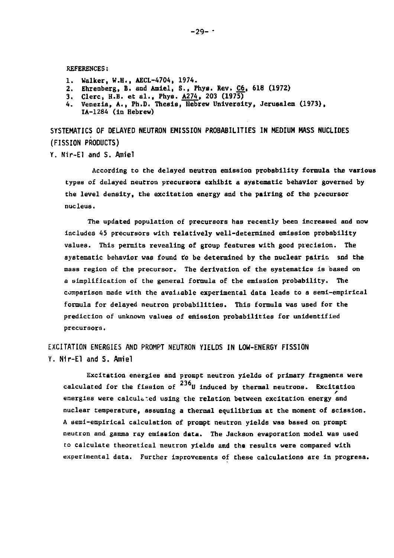**REFERENCES:** 

- **1. Walker, W.H., AECL-4704, 1974.**
- **2. Ehrenberg, B. and Amiel, S., Phys. Rev. C6, 618 (1972)**
- 
- **3. Clerc, H.B. et al., Phys. A274. 203 (1975) 4. Venezia, A., Ph.D. Thesis, Hebrew University, Jerusalem (1973), IA-1284 (in Hebrew)**

**SYSTEMATICS OF OELAYED NEUTRON EMISSION PROBABILITIES IN MEDIUM MASS NUCLIDES (FISSION PRODUCTS)** 

**Y. Nir-El and S. Amiel** 

**According to the delayed neutron emission probability formula the various types of delayed neutron precursors exhibit a systematic behavior governed by the level density, the excitation energy and the pairing of the precursor nucleus.** 

**The updated population of precursors has recently been increased and now includes 45 precursors with relatively well-determined emission probability**  values. This permits revealing of group features with good precision. The systematic behavior was found to be determined by the nuclear pairin and the mass region of the precursor. The derivation of the systematics is based on **a simplification of the general formula of the emission probability. The comparison made with the available experimental data leads to a semi-empirical formula for delayed neutron probabilities. This formula was used for the prediction of unknown values of emission probabilities for unidentified precursors.** 

**EXCITATION ENERGIES AND PROMPT NEUTRON YIELDS IN LOW-ENERGY FISSION Y. N1r-El and S. Amiel** 

**Excitation energies and prompt neutron yields of primary fragments were**  calculated for the fission of <sup>236</sup>U induced by thermal neutrons. Excitation energies were calculated using the relation between excitation energy and **nuclear temperature, assuming a thermal equilibrium at the moment of scission. A semi-empirical calculation of prompt neutron yields was based on prompt neutron and gamma ray emission data. The Jackson evaporation model was used to calculate theoretical neutron yields and the results were compared with experimental data. Further Improvements of these calculations are in progress.**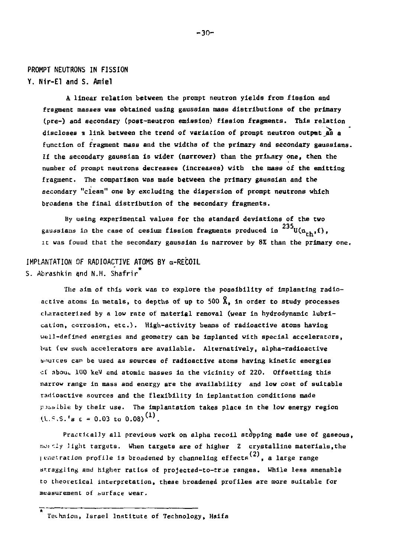### **PROMPT NEUTRONS IN FISSION Y. Nir-El and S. Amiel**

**A linear relation between the prompt neutron yields from fission and fragment masses vas obtained using gausslan mass distributions of the primary (pre-) and secondary (post-neutron emission) fission fragments. This relation**  discloses a link between the trend of variation of prompt neutron output as a **function of fragment mass and the widths of the primary and secondary gaussians. If the secondary gaussian is wider (narrower) than the prinary one, then the number of prompt neutrons decreases (increases) with the mass of the emitting fragment. The comparison was made between the primary gaussian and the secondary "clean" one by excluding the dispersion of prompt neutrons which broadens the final distribution of the secondary fragments.** 

**By using experimental values for the standard deviations of the two**  gaussians in the case of cesium fission fragments produced in  $^{235}$ U(n<sub>rb</sub>f), **gaussiand in the case of cesium fission fragments produced in U(n . ,f), it was found that the secondary gaussian is narrower by** *8%* **than the primary one,** 

#### **IMPLANTATION OF RADIOACTIVE ATOMS BY a-RECOIL** \*

**S. Abrashkin and N.H. Shafrir<sup>\*</sup>** 

**The aim of this work was to explore the possibility of implanting radioactive atoms in metals, to depths of up to 500 A, in order to study processes characterized by a low rate of material removal (wear in hydrodynamic lubrication, corrosion, etc.). High-activity beams of radioactive atoms having well-defined energies and geometry can be implanted with special accelerators, but few such accelerators are available. Alternatively, alpha-radioactive sources can be used as sources of radioactive atoms having kinetic energies of about. 100 keV and atomic masses in the vicinity of 220. Offsetting this narrow range in mass and energy are the availability and low cost of suitable radioactive sources and the flexibility in implantation conditions made p.foible by their use. The implantation takes place In the low energy region**   $U.S.S.Fs \in \{0.03, t_0, 0.08\}$ <sup>(1)</sup>

**Practically all previous work on alpha recoil stopping made use of gaseous, [!io.\*-:ly light targets. When targets are of higher Z crystalline materials,the (2) Ii-nctratlon profile ig broadened by channeling effects , a large range straggling and higher ratios of projected-to-true ranges. While less amenable to theoretical interpretation, these broadened profiles are more suitable for measurement of surface wear.** 

**Tci-hnlon, Israel Institute of Technology, Haifa**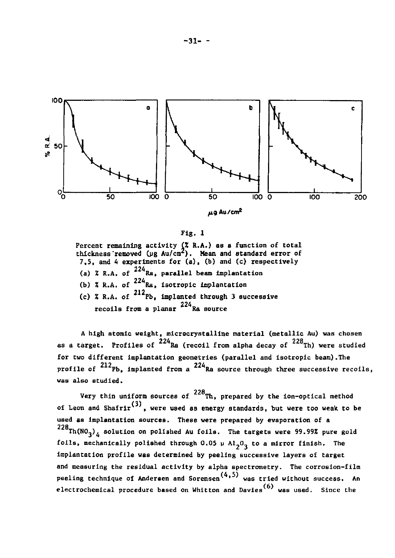

$$
\texttt{Fig. 1}
$$

**Percent remaining activity** *(X* **R.A.) as a function of total thickness'removed (jjg Au/cnr). Mean and standard error of 7,5, and A experiments for (a), (b) and (c) respectively**  (a)  $\lambda$  R.A. of  $^{224}$ Ra, parallel beam implantation (b)  $\bar{x}$  R.A. of  $224$   $\bar{x}$ , isotropic implantation

(c) % R.A. of <sup>212</sup>Pb, implanted through 3 successive **212 (c) % R.A. of Fb, implanted through 3 successive recoils from a planar Ra source** 

**A high atomic weight, microcrystalline material (metallic Au) was chosen**  as a target. Profiles of <sup>224</sup>Ra (recoil from alpha decay of <sup>228</sup>Th) were studied for two different implantation geometries (parallel and isotropic beam). The **profile of**  $212$ Pb, implanted from a  $224$ Ra source through three successive recoils, **was also studied.** 

Very thin uniform sources of <sup>228</sup>Th, prepared by the ion-optical method **of Leon and Shafrlr (3) were used as energy standards, but were too weak to be used as implantation sources. These were prepared by evaporation of a**   $228$ Th(NO<sub>2</sub>)<sub>A</sub> solution on polished Au foils. The targets were 99.99% pure gold foils, mechanically polished through  $0.05 \mu$  Al<sub>2</sub>O<sub>2</sub> to a mirror finish. The implantation profile was determined by peeling successive layers of target and measuring the residual activity by alpha spectrometry. The corrosion-film **and measuring the residual activity by alpha spectrometry. The corrosion-film peeling technique of Andersen and Sorensen (4,5) was tried without success. An electrochemical procedure based on Whitton and Davies was used. Since the (6)**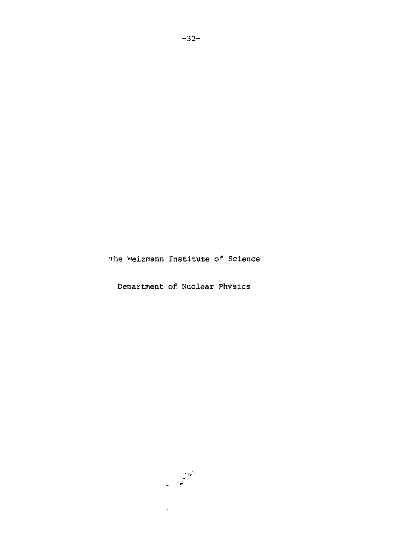The Weizmann Institute of Science

Department of Nuclear Phvsics

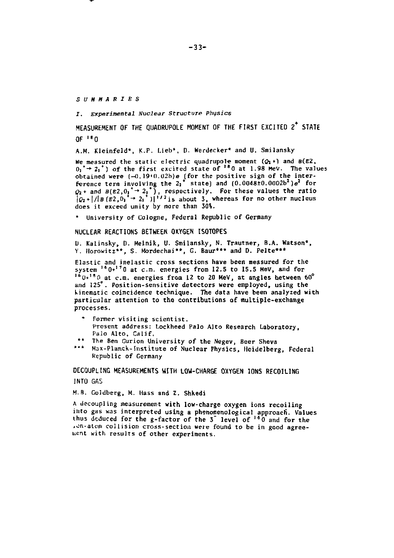*SUMMARIES* 

*I. Experimental Nuclear Structure Physics* 

**MEASUREMENT OF THE qiJADRUPOLE MOMENT OF THE FIRST EXCITED 2 <sup>+</sup> STATE OF ,H 0** 

**A.M. Kleinfeld\*, K.P. Lieb\*, D. Werdecker\* and U. Smilansky** 

We measured the static electric quadrupole moment  $(Q_1*)$  and  $B(E2)$ ,  $0<sub>1</sub>$ <sup>\*</sup> → 2<sub>1</sub><sup>\*</sup>) of the first excited state of <sup>1</sup><sup>0</sup>0 at 1.98 MeV. The values **obtained were (-0.]9»0.02b)e (for the positive sign of the inter-ference term involving the 2j\* state) and (O.0O48±O.O002b2)e3 for**   $\phi_2$  + and  $B(E2, 0_1^* \rightarrow 2_1^*)$ , respectively. For these values the ratio  $\phi_2$  \* $\frac{1}{B}$  (E2, 0<sub>1</sub><sup>\*</sup> + 2<sub>i</sub><sup>\*</sup>)|<sup>172</sup> is about 3, whereas for no other nucleus **does it exceed unity by more than 30%.** 

**\* University of Cologne, Federal Republic of Germany** 

#### **NUCLEAR REACTIONS BETWEEN OXYGEN ISOTOPES**

**D. Kalinsky, D. Melnik, U. Smilansky, N. Trautner, B.A. Watson\*, Y. Horowitz\*\*, S. Mordechai\*\*, G. Baur\*\*\* and D. Pelte\*\*\*** 

**Elastic and inelastic cross sections have been measured for the system l6 0+' <sup>7</sup> 0 at cm . energies from 12.5 to 15.5 Mev, and for 1 6 0 + , a 0 at cm . energies from 12 to 20 MeV, at angles hetween 60° and 125°. Position-sensitive detectors were employed, using the kinematic coincidence technique. The data have been analyzed with particular attention to the contributions of multiple-exchange processes.** 

- **\* Former visiting scientist. Present address: Lockheed Palo Alto Research Laboratory, Palo Alto, Calif.**
- **\*\* The Ben Gurion University of the Negev, Beer Sheva**
- **\*\*\* Max-Planck.-Institute of Nuclear Physics, Heidelberg, Federal Republic of Germany**

**DECOUPLING MEASUREMENTS WITH LOW-CHARGE OXYGEN IONS RECOILING INTO GAS** 

**M.B. Goldberg, M. Hass and Z. Shkedi** 

**A decoupling measurement with low-charge oxygen ions recoiling into gas was interpreted using a phenomenological approach. Values thus deduced for the g-factor of the 3" level of <sup>16</sup> 0 and for the \*on-atom collision cross-section were found to be in good agreement with results of other experiments.**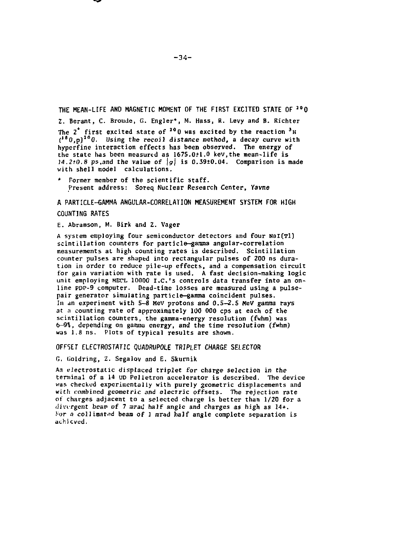#### **THE MEAN-LIFE AND MAGNETIC MOMENT OF THE FIRST EXCITED STATE OF IO 0**

**2. Berant, C. Broude, G. Engler\*. M. Hass, R. Levy and B. Richter The 2 first excited state of <sup>10</sup> 0 was excited by the reaction \* H ( I B 0,p)J 0 0. Using the recoil distance method, a decay curve with hyperfine interaction effects has been observed. The energy of the state has been measured as 1675.0+1.0 kev.the mean-life is**  *14.2\*0.8* **ps.and the value of** *\g\* **is 0.39+0.04. Comparison is made with shell model calculations.** 

**\* Former member of the scientific staff. Present address: Soreq Nuclear Research Center, Vavne** 

### **A PARTICLE-GAMMA ANGULAR-CORRELATION MEASUREMENT SYSTEM FOR HIGH COUNTING RATES**

**E. Abramson, M. Birk and 2. Vager** 

A system employing four semiconductor detectors and four NaI(Tl) **scintillation counters for particle-gamma angular-correlation measurements at high counting rates is described. Scintillation counter pulses are shaped into rectangular pulses of 200 ns duration in order to reduce pile-up effects, and a compensation circuit for gain variation with rate is used. A fast decision-making logic**  unit employing MECL 10000 I.C.'s controls data transfer into an on**line PDP-9 computer. Dead-time losses are measured using a pulsepair generator simulating particle-gamma coincident pulses.**  In an experiment with 5-8 MeV protons and 0.5-2.5 MeV gamma rays **at a counting rate of approximately 100 000 cps at each of the scintillation counters, the gamma-energy resolution (fwhm) was 6-9%, depending on gamma energy, and the time resolution {fwhm) was 1.8 ns. Plots of typical results are shown.** 

### **OFFSET ELECTROSTATIC QUADRUP0LE TRIPLET CHARGE SELECTOR**

**G. Goldring, 2. Segalov and E. Skurnik** 

**An electrostatic displaced triplet for charge selection in the terminal of a 14 UD Pelletron accelerator is described. The device was checked experimentally with purely geometric displacements and with combined geometric and electric offsets- The rejection rate of charges adjacent to a selected charge is better than 1/20 for a divergent beam of 7** *mratl* **half angle and charges as high as 14+.**  *Vor a collimated* beam of 1 mrad half angle complete separation is **achieved.**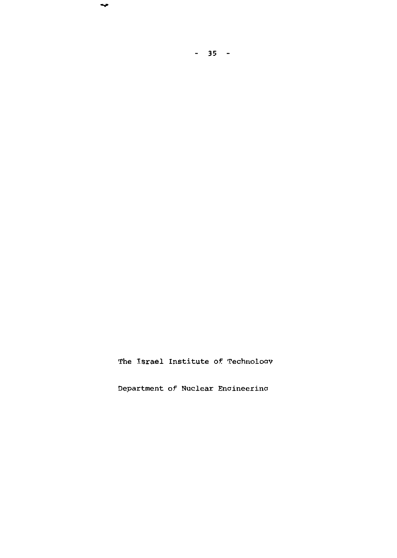The Israel Institute of Technology

 $-35 -$ 

 $\overline{\phantom{a}}$ 

Department of Nuclear Enaineerina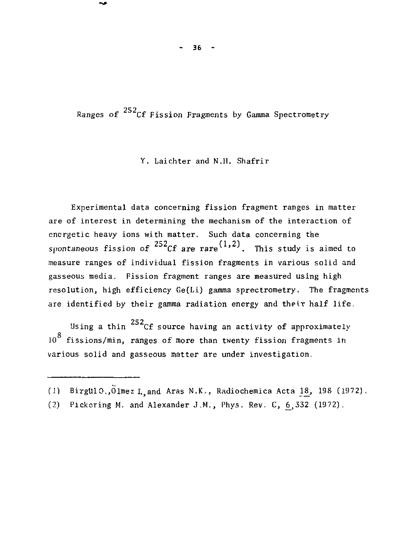$36 -$ 

Ranges of  $^{252}$ Cf Fission Fragments by Gamma Spectrometry

Y. Laichter and N.H. Shafrir

Experimental data concerning fission fragment ranges in matter are of interest in determining the mechanism of the interaction of energetic heavy ions with matter. Such data concerning the spontaneous fission of <sup>252</sup>Cf are rare<sup>(1,2)</sup>. This study is aimed to measure ranges of individual fission fragments in various solid and gasseous media. Fission fragment ranges are measured using high resolution, high efficiency Ge(Li) gamma sprectrometry. The fragments are identified by their gamma radiation energy and their half life.

Using a thin  $^{252}$ Cf source having an activity of approximately Q 10 fissions/min, ranges of more than twenty fission fragments in various solid and gasseous matter are under investigation,

*<sup>( 1</sup> )* BirgU10,,01mez I.;and Aras N.K., Radiochemica Acta 18\_, 198 (1972).

<sup>(2)</sup> Pickering M, and Alexander J.M., Phys. Rev. C, 6,332 (1972).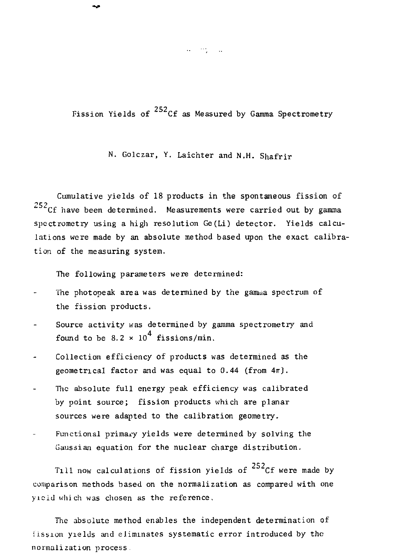Fission Yields of  $^{252}$ Cf as Measured by Gamma Spectrometry

N. Golczar, Y. Laichter and N.H. Shafrir

Cumulative yields of 18 products in the spontaneous fission of  ${}^{252}$ Cf have been determined. Measurements were carried out by gamma spectrometry using a high resolution Ge(Li) detector. Yields calculations were made by an absolute method based upon the exact calibration of the measuring system,

The following parameters were determined:

- The photopeak area was determined by the gamma spectrum of the fission products.
- Source activity was determined by gamma spectrometry and  $\overline{a}$ found to be  $8.2 \times 10^4$  fissions/min.
- Collection efficiency of products was determined as the geometrical factor and was equal to  $0.44$  (from  $4\pi$ ).
- The absolute full energy peak efficiency was calibrated by point source; fission products which are planar sources were adapted to the calibration geometry.
- Functional primary yields were determined by solving the Gaussian equation for the nuclear charge distribution.

Till now calculations of fission yields of  $^{252}$ Cf were made by comparison methods based on the normalization as compared with one yieid which was chosen as the reference.

The absolute method enables the independent determination of fission yields and eliminates systematic error introduced by the normalization process

a composit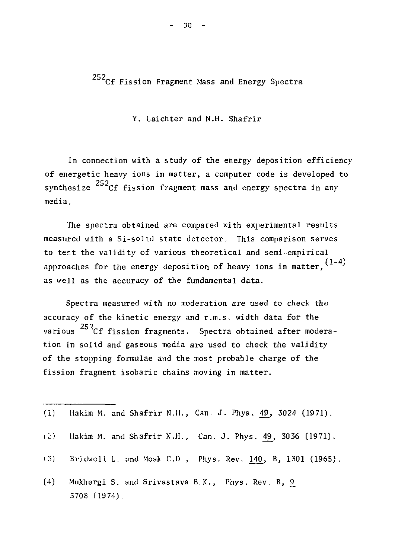252<sub>Cf</sub> Fission Fragment Mass and Energy Spectra

Y. Laichter and N.H. Shafrir

In connection with a study of the energy deposition efficiency of energetic heavy ions in matter, a computer code is developed to synthesize  $^{252}$ Cf fission fragment mass and energy spectra in any media.

The spectra obtained are compared with experimental results measured with a Si-solid state detector. This comparison serves to test the validity of various theoretical and semi-empirical approaches for the energy deposition of heavy ions in matter.  $(1-4)$ as well as the accuracy of the fundamental data.

Spectra measured with no moderation are used to check the accuracy of the kinetic energy and r.m.s. width data for the various <sup>25</sup><sup>2</sup>Cf fission fragments. Spectra obtained after moderation in solid and gaseous media are used to check the validity of the stopping formulae and the most probable charge of the  $\mathbf{f}$  the stopping formulae and the most probable charge of the most probable charge of the most probable charge of the most probable charge of the most probable charge of the most probable charge charge charge charge fission fragment isobaric chains moving in matter.

|     | (1) Hakim M. and Shafrir N.H., Can. J. Phys. $49$ , $3024$ (1971). |
|-----|--------------------------------------------------------------------|
|     | (2) Hakim M. and Shafrir N.H., Can. J. Phys. 49, 3036 (1971).      |
|     | (3) Bridwell L. and Moak C.D., Phys. Rev. 140, B, 1301 (1965).     |
| (4) | Mukhergi S. and Srivastava B.K., Phys. Rev. B, 9<br>$5708$ (1974). |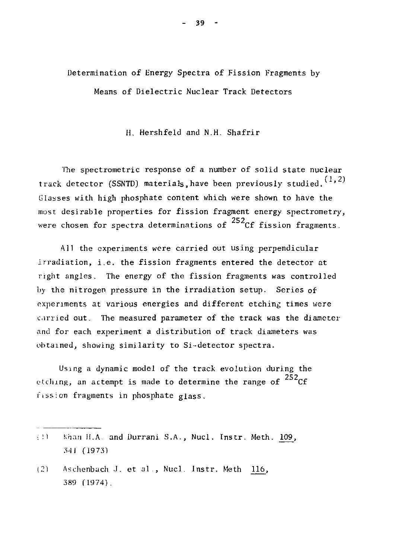Determination of Energy Spectra of Fission Fragments by Means of Dielectric Nuclear Track Detectors

H, Hershfeld and N.H. Shafrir

The spectrometric response of a number of solid state nuclear track detector (SSNTD) materials, have been previously studied.  $(1, 2)$ Glasses with high phosphate content which were shown to have the most desirable properties for fission fragment energy spectrometry, were chosen for spectra determinations of  $^{252}$ Cf fission fragments.

All the experiments were carried out using perpendicular irradiation, i.e. the fission fragments entered the detector at right angles. The energy of the fission fragments was controlled by the nitrogen pressure in the irradiation setup. Series of experiments at various energies and different etching times were c.irried out. The measured parameter of the track was the diameter and for each experiment a distribution of track diameters was obtained, showing similarity to Si-detector spectra.

Using a dynamic model of the track evolution during the etching, an attempt is made to determine the range of  $^{252}$ Cf fission fragments in phosphate glass.

- $\{1\}$  Khan H.A. and Durrani S.A., Nucl. Instr. Meth. 109, .I'll (19 73)
- (21 Aschenbach J. et al., Nucl. Instr. Meth 116, 389 f 1974).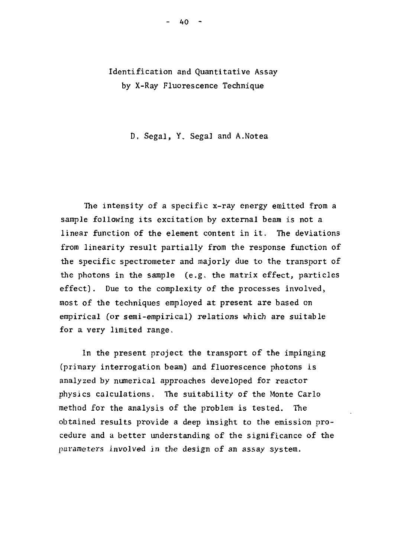## Identification and Quantitative Assay by X-Ray Fluorescence Technique

D. Segal, Y. Segal and A.Notea

The intensity of a specific x-ray energy emitted from a sample following its excitation by external beam is not a linear function of the element content in it. The deviations from linearity result partially from the response function of the specific spectrometer and majorly due to the transport of the photons in the sample  $(e, g, t)$  the matrix effect, particles effect]. Due to the complexity of the processes involved, most of the techniques employed at present are based on empirical (or semi-empirical) relations which are suitable for a very limited range.

In the present project the transport of the impinging (primary interrogation beam) and fluorescence photons is analyzed by numerical approaches developed for reactor physics calculations. The suitability of the Monte Carlo method for the analysis of the problem is tested. The obtained results provide a deep insight to the emission procedure and a better understanding of the significance of the parameters involved in the design of an assay system.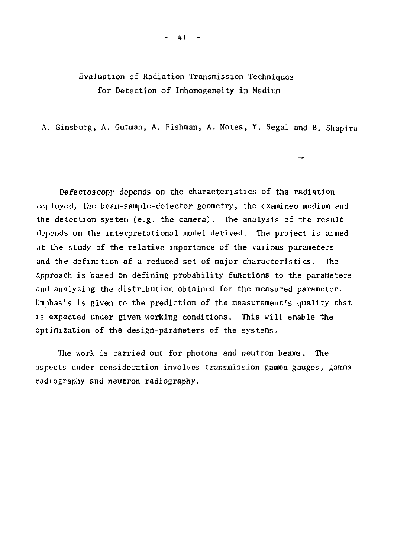## Evaluation of Radiation Transmission Techniques for Detection of Inhomogeneity in Medium

A. Ginsburg, A. Gutman, A. Fishman, A. Notea, Y. Segal and B. Shapiro

Defectoscony depends on the characteristics of the radiation employed, the beam-sample-detector geometry, the examined medium and the detection system (e.g. the camera). The analysis of the result depends on the interpretational model derived. The project is aimed at the study of the relative importance of the various parameters and the definition of a reduced set of major characteristics. The approach is based on defining probability functions to the parameters and analyzing the distribution obtained for the measured parameter. Emphasis is given to the prediction of the measurement's quality that is expected under given working conditions. This will enable the optimization of the design-parameters of the systems.

The work is carried out for photons and neutron beams. The aspects under consideration involves transmission gamma gauges, gamma radiography and neutron radiography.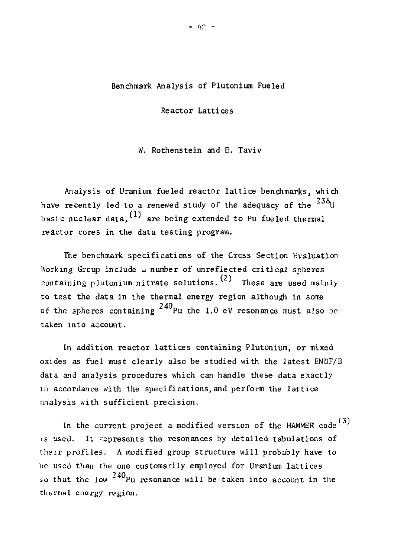### Benchmark Analysis of Plutonium Fueled

Reactor Lattices

W. Rothenstein and E. Taviv

Analysis of Uranium fueled reactor lattice benchmarks, which have recently led to a renewed study of the adequacy of the  $^{238}$ U basic nuclear data, t' are being extended to Pu fueled thermal reactor cores in the data testing program.

The benchmark specifications of the Cross Section Evaluation Working Group include a number of unreflected critical spheres containing plutonium nitrate solutions.  $(2)$  These are used mainly to test the data in the thermal energy region although in some of the spheres containing  $^{240}\rm{Pu}$  the 1.0 eV resonance must also be taken into account.

In addition reactor lattices containing Plutonium, or mixed oxides as fuel must clearly also be studied with the latest ENDF/B data and analysis procedures which can handle these data exactly in accordance with the specifications, and perform the lattice analysis with sufficient precision.

In the current project a modified version of the HAMMER code<sup>(3)</sup> is used. It represents the resonances by detailed tabulations of their profiles. A modified group structure will probably have to be used than the one customarily employed for Uranium lattices so that the low  $^{240}\rm _{\rm \small{Pu}}$  resonance will be taken into account in the thermal energy region .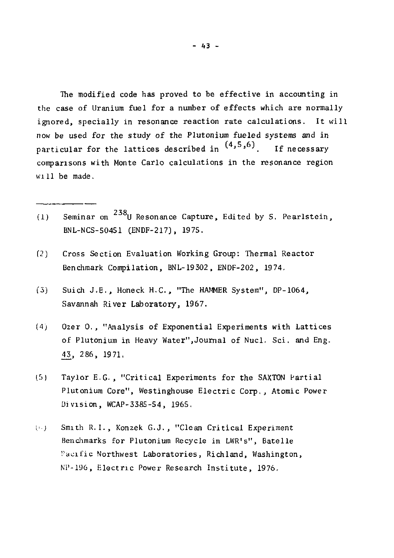The modified code has proved to be effective in accounting in the case of Uranium fuel for a number of effects which are normally ignored, specially in resonance reaction rate calculations. It will now be used for the study of the Plutonium fueled systems and in particular for the lattices described in  $(4,5,6)$ . If necessary comparisons with Monte Carlo calculations in the resonance region will be made.

- Seminar on  $^{238}$ U Resonance Capture, Edited by S. Pearlstein, (1) Seminar on U Resonance Capture, Edited by S. Pearlstein, BNL-NCS-50451 (ENDF-217), 197S.
- (2) Cross Section Evaluation Working Group: Thermal Reactor Benchmark Compilation, BNL-19302, ENDF-202, 1974.
- (5) Suich J.E. , Honeck H.C., "The HAMMER System", DP-1064, Savannah River Laboratory, 1967.
- (4) Ozer 0. , "Analysis of Exponential Experiments with Lattices of Plutonium in Heavy Water",Journal of Nucl. Sci. and Eng. £3, 286, 1971.
- (5) Taylor E.G., "Critical Experiments for the SAXTON Partial Plutonium Core", Westinghouse Electric Corp., Atomic Power Division, WCAP-338S-S4, 196S.
- (a) Smith R.I., Konzek G.J., "Clean Critical Experiment Benchmarks for Plutonium Recycle in LWR's", Batelle Pacific Northwest Laboratories, Richland, Washington, NP-196, Electric Power Research Institute , 1976.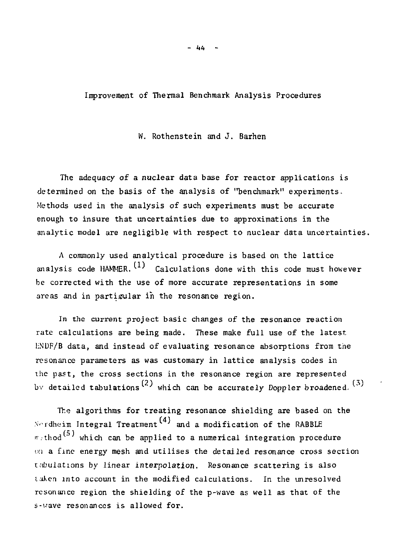**-** *ItU* **-**

### Improvement of Thermal Benchmark Analysis Procedures

### W. Rothenstein and J. Barhen

The adequacy of a nuclear data base for reactor applications is determined on the basis of the analysis of "benchmark" experiments. Methods used in the analysis of such experiments must be accurate enough to insure that uncertainties due to approximations in the analytic model are negligible with respect to nuclear data uncertainties.

A commonly used analytical procedure is based on the lattice analysis code HAMMER.  $(1)$  Calculations done with this code must however be corrected with the use of more accurate representations in some areas and in partigular in the resonance region.

In the current project basic changes of the resonance reaction rate calculations are being made. These make full use of the latest HNDF/B data, and instead of evaluating resonance absorptions from the resonance parameters as was customary in lattice analysis codes in the past, the cross sections in the resonance region are represented by detailed tabulations<sup>(2)</sup> which can be accurately Doppler broadened.<sup>(3)</sup>

The algorithms for treating resonance shielding are based on the Nordheim Integral Treatment<sup>(4)</sup> and a modification of the RABBLE  $m$ -thod<sup>(5)</sup> which can be applied to a numerical integration procedure on a fine energy mesh and utilises the detailed resonance cross section tabulations by linear interpolation. Resonance scattering is also taken into account in the modified calculations. In the unresolved resonance region the shielding of the p-wave as well as that of the s-vave resonances is allowed for.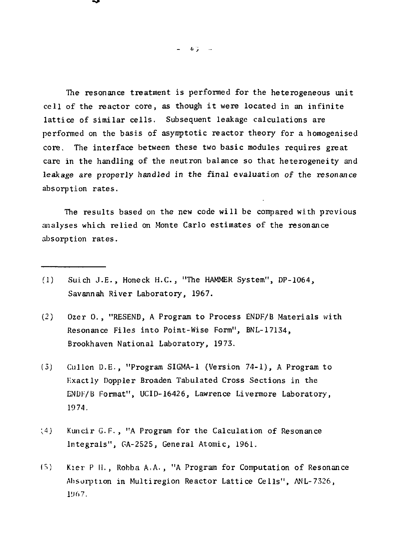The resonance treatment is performed for the heterogeneous unit  $cell$  of the reactor core, as though it were located in an infinite lattice of similar cells. Subsequent leakage calculations are performed on the basis of asymptotic reactor theory for a homogenised core. The interface between these two basic modules requires great care in the handling of the neutron balance so that heterogeneity and leakage are properly handled in the final evaluation of the resonance absorption rates.

The results based on the new code will be compared with previous analyses which relied on Monte Carlo estimates of the resonance absorption rates.

- (1) Sulch J.E. , Honeck H.C., "The HAMMER System", DP-1064, Savannah River Laboratory, 1967.
- (2) Ozer 0. , "RESEND, A Program to Process ENDF/B Materials with Resonance Files into Point-Wise Form", BNL-17134, Brookhaven National Laboratory, 1973.
- (5) dillen D.E., "Program SIGMA-1 (Version 74-1), A Program to F.xactly Doppler Broaden Tabulated Cross Sections in the ENDF/B Format", UCID-16426, Lawrence Livermore Laboratory, 1974.
- *[t)* Kuncir G.F., "A Program for the Calculation of Resonance Integrals", GA-2525, General Atomic, 1961.
- (S) Kier P II. , Robba A.A., "A Program for Computation of Resonance Absorption in Multiregion Reactor Lattice Cells" , ANL-7326, 1U67.

 $-63 -$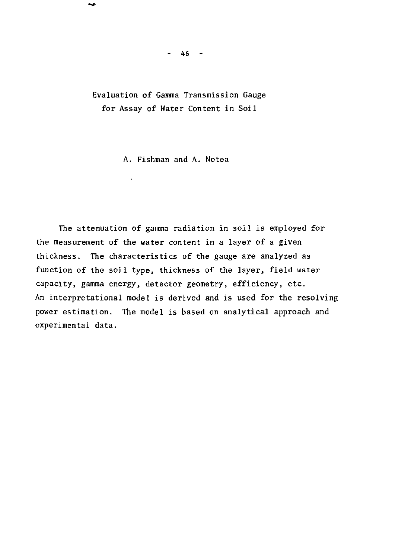Evaluation of Gamma Transmission Gauge for Assay of Water Content in Soil

A. Fishman and A. Notea

The attenuation of gamma radiation in soil is employed for the measurement of the water content in a layer of a given thickness. The characteristics of the gauge are analyzed as function of the soil type, thickness of the layer, field water capacity, gamma energy, detector geometry, efficiency, etc. An interpretational model is derived and is used for the resolving power estimation. The model is based on analytical approach and experimental data.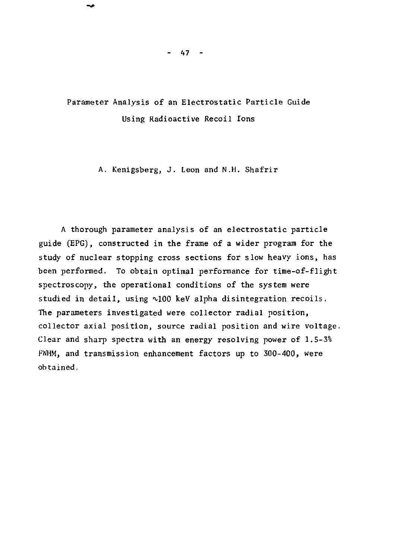Parameter Analysis of an Electrostatic Particle Guide Using Radioactive Recoil Ions

A. Kenigsberg, J. Leon and N.H. Shafrir

A thorough parameter analysis of an electrostatic particle guide (EPG), constructed in the frame of a wider program for the study of nuclear stopping cross sections for slow heavy ions, has been performed. To obtain optimal performance for time-of-flight spectroscopy, the operational conditions of the system were studied in detail, using  $\sim$ 100 keV alpha disintegration recoils. The parameters investigated were collector radial position, collector axial position, source radial position and wire voltage. Clear and sharp spectra with an energy resolving power of 1.5-3% FWHM, and transmission enhancement factors up to 300-400, were obtained.

 $47 -$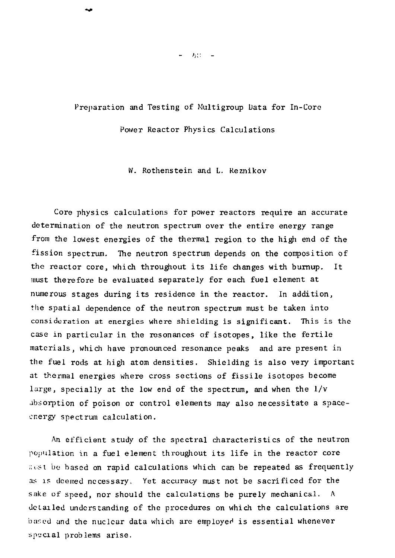# Preparation and Testing of Multigroup Data for In-Core

Power Reactor Physics Calculations

W. Rothenstein and L. Reznikov

Core physics calculations for power reactors require an accurate determination of the neutron spectrum over the entire energy range from the lowest energies of the thermal region to the high end of the fission spectrum. The neutron spectrum depends on the composition of the reactor core, which throughout its life changes with burnup. It must therefore be evaluated separately for each fuel element at numerous stages during its residence in the reactor. In addition, the spatial dependence of the neutron spectrum must be taken into consideration at energies where shielding is significant. This is the case in particular in the resonances of isotopes, like the fertile materials, which have pronounced resonance peaks and are present in the fuel rods at high atom densities. Shielding is also very important at thermal energies where cross sections of fissile isotopes become large, specially at the low end of the spectrum, and when the 1/v absorption of poison or control elements may also necessitate a spaceenergy spectrum calculation.

An efficient study of the spectral characteristics of the neutron population in a fuel element throughout its life in the reactor core ;:ist be based on rapid calculations which can be repeated as frequently as is deemed necessary. Yet accuracy must not be sacrificed for the sake of speed, nor should the calculations be purely mechanical. A detailed understanding of the procedures on which the calculations are based and the nuclear data which are employed is essential whenever special problems arise .

 $= -283 - 1$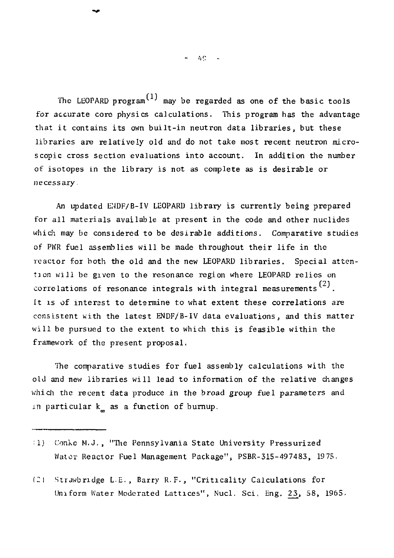$-4C - 1$ 

The LEOPARD program<sup>(1)</sup> may be regarded as one of the basic tools for accurate core physics calculations. This program has the advantage that it contains its own built-in neutron data libraries, but these libraries are relatively old and do not take most recent neutron microscopic cross section evaluations into account. In addition the number of isotopes in the library is not as complete as is desirable or necessary.

An updated ENDF/B-IV LEOPARD library is currently being prepared for all materials available at present in the code and other nuclides which may be considered to be desirable additions. Comparative studies of PWR fuel assemblies will be made throughout their life in the reactor for both the old and the new LEOPARD libraries. Special attention will be given to the resonance region where LEOPARD relies on correlations of resonance integrals with integral measurements<sup>(2)</sup>. It is of interest to determine to what extent these correlations are consistent with the latest  $ENDF/B-IV$  data evaluations, and this matter will be pursued to the extent to which this is feasible within the will be pursued to the extent to which the extent to which the extent the  $\alpha$ framework of the present proposal.

The comparative studies for fuel assembly calculations with the old and new libraries will lead to information of the relative changes which the recent data produce in the broad group fuel parameters and in particular  $k_n$  as a function of burnup.

- :1) Conko M.J., "The Pennsylvania State University Pressurized Water Reactor Fuel Management Package", PSBR-315-497483, 1975.
- *('-)* Strawbridge L-E., Barry R. F., "Criticalit y Calculations for Uniform Water Moderated Lattices", Nucl. Sci. Eng. 23, 58, 1965.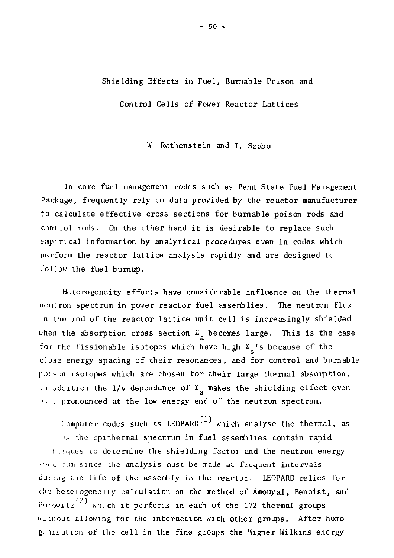## Shielding Effects in Fuel, Burnable Person and

Control Cells of Power Reactor Lattices

IV. Rothenstein and I, Szabo

In core fuel management codes such as Penn State Fuel Management Package, frequently rely on data provided by the reactor manufacturer to calculate effective cross sections for burnable poison rods and control rods. On the other hand it is desirable to replace such empirical information by analytical procedures even in codes which perform the reactor lattice analysis rapidly and are designed to follow the fuel bumup.

Heterogeneity effects have considerable influence on the thermal neutron spectrum in power reactor fuel assemblies. The neutron flux in the rod of the reactor lattice unit cell is increasingly shielded when the absorption cross section  $\Sigma_{\rm g}$  becomes large. This is the case for the fissionable isotopes which have high  $\Sigma_c$ 's because of the close energy spacing of their resonances, and for control and burnable poison isotopes which are chosen for their large thermal absorption. In addition the 1/v dependence of  $\Sigma_n$  makes the shielding effect even :.;: pronounced at the low energy end of the neutron spectrum.

L. imputer codes such as LEOPARD<sup>(1)</sup> which analyse the thermal, as .'.\* the cpithermal spectrum in fuel assemblies contain rapid i liques to determine the shielding factor and the neutron energy -;./C(. : urn since the analysis must be made at frequent intervals during the life of the assembly in the reactor. LEOPARD relies for the heterogeneity calculation on the method of Amouyal, Benoist, and Horowitz<sup>(2)</sup> which it performs in each of the 172 thermal groups without allowing for the interaction with other groups. After homogenisation of the cell in the fine groups the Wigner Wilkins energy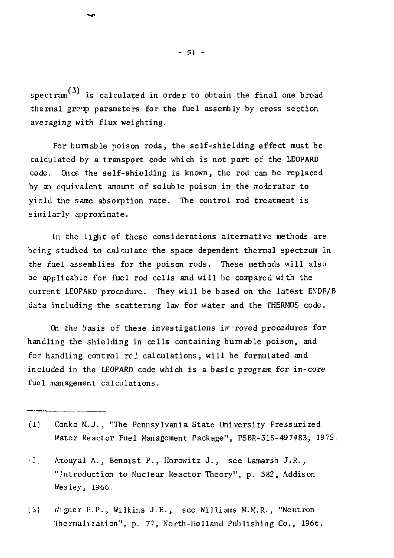spectrum<sup>(3)</sup> is calculated in order to obtain the final one broad thermal grcip parameters for the fuel assembly by cross section averaging with flux weighting.

For burnable poison rods, the self-shielding effect must be calculated by a transport code which is not part of the LEOPARD code. Once the self-shielding is known, the rod can be replaced by an equivalent amount of soluble poison in the moderator to yield the same absorption rate. The control rod treatment is similarly approximate.

In the light of these considerations alternative methods are being studied to calculate the space dependent thermal spectrum in the fuel assemblies for the poison rods. These methods will also be applicable for fuel rod cells and will be compared with the current LEOPARD procedure. They will be based on the latest ENDF/B data including the scattering law for water and the THERMOS code.

On the basis of these investigations improved procedures for handling the shielding in cells containing burnable poison, and for handling control  $rc$  calculations, will be formulated and included in the LEOPARD code which is a basic program for in-core fuel management calculations.

- (1) Conko M.J., "The Pennsylvania State University Pressurized Water Reactor Fuel Management Package", PSBR-315-497483, 197S,
- *•2,* Amouyal A., Benoist P., Horowitz J. , see Lamarsh J.R., "Introduction to Nuclear Reactor Theory", p. 382, Addison Wesley, 1966,
- (3) Wigner E.P., Wilkins J.E. , see Williams M.M.R., "Neutron Thcrmalization", p. 77, North-Holland Publishing Co., 1966.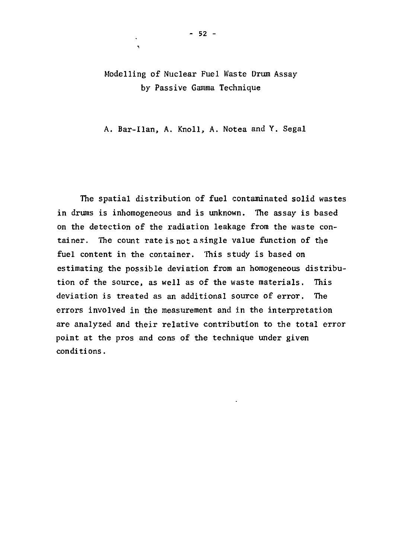## Modelling of Nuclear Fuel Waste Drum Assay by Passive Gamma Technique

A. Bar-Ilan, A. Knoll, A. Notea and Y. Segal

The spatial distribution of fuel contaminated solid wastes in drums is inhomogeneous and is unknown. The assay is based on the detection of the radiation leakage from the waste container. The count rate is not a single value function of the fuel content in the container. This study is based on estimating the possible deviation from an homogeneous distribution of the source, as well as of the waste materials. This deviation is treated as an additional source of error. The errors involved in the measurement and in the interpretation are analyzed and their relative contribution to the total error point at the pros and cons of the technique under given conditions.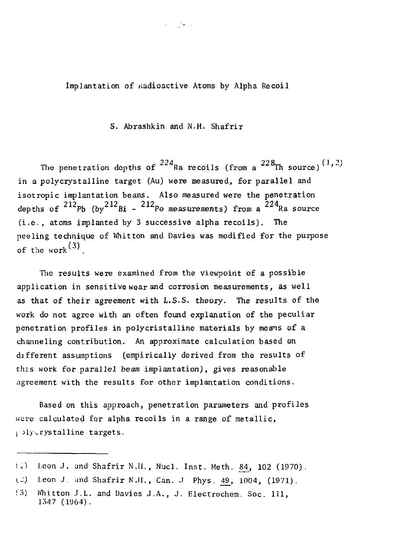Implantation of Radioactive Atoms by Alpha Recoil

S. Abrashkin and N.H. Shafrir

The penetration depths of  $^{224}$ Ra recoils (from a  $^{228}$ Th source)<sup>(1,2)</sup> in a polycrystalline target (Au) were measured, for parallel and isotropic implantation beams. Also measured were the penetration isotropic c implantation of the penetration of  $\frac{1}{2}$  and  $\frac{1}{2}$  and  $\frac{1}{2}$ Po (oy bi - Po measurements) rrom a l  $(i.e., atoms immediately 3 successive alpha records).$  The peeling technique of Whitton and Davies was modified for the purpose of the work  $(3)$ 

The results were examined from the viewpoint of a possible application in sensitive wear and corrosion measurements, as well as that of their agreement with L.S.S. theory. The results of the work do not agree with an often found explanation of the peculiar penetration profiles in polycristalline materials by means of a channeling contribution. An approximate calculation based on different assumptions (empirically derived from the results of this work for parallel beam implantation), gives reasonable agreement with the results for other implantation conditions.

Based on this approach, penetration parameters and profiles were calculated for alpha recoils in a range of metallic, pply crystalline targets.

<sup>(1)</sup> Leon J. and Shafrir N.H., Nucl. Inst. Meth. 84, 102 (1970).

 $\Box$  Leon J. and Shafrir N.H., Can. J. Phys. 49, 1004, (1971).

<sup>(3)</sup> Whitton J.L . and Davies J.A. , J. Electrochem. Soc . Ill , 1347 (1U64) .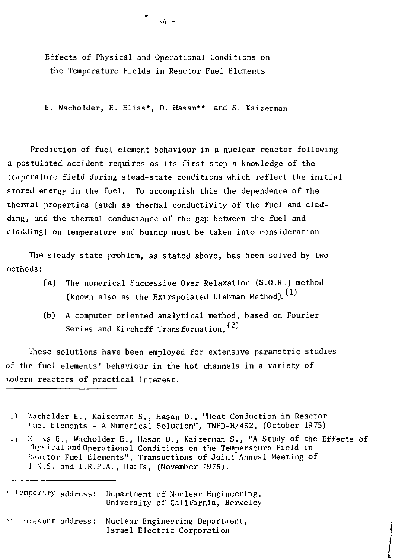Effects of Physical and Operational Conditions on the Temperature Fields in Reactor Fuel Elements

E. Wacholder, E. Elias\*, D. Hasan\*\* and S. Kaizerman

Prediction of fuel element behaviour in a nuclear reactor following a postulated accident requires as its first step a knowledge of the temperature field during stead-state conditions which reflect the initial stored energy in the fuel. To accomplish this the dependence of the thermal properties (such as thermal conductivity of the fuel and cladding, and the thermal conductance of the gap between the fuel and cladding) on temperature and burnup must be taken into consideration

The steady state problem, as stated above, has been solved by two methods:

- (a) The numerical Successive Over Relaxation (S.O.R.) method (known also as the Extrapolated Liebman Method).  $(1)$
- (b) A computer oriented analytical method, based on Fourier Series and Kirchoff Transformation.<sup>(2)</sup>

These solutions have been employed for extensive parametric studies of the fuel elements' behaviour in the hot channels in a variety of modern reactors of practical interest.

- :l) Wacholder E., Kaizerman S., Hasan D., "Heat Conduction in Reactor 'uel Elements - A Numerical Solution", TNED-R/452, (October 19 75).
- :i Elias E., W.icholder E., Hasan D., Kaizerman S., "A Study of the Effects of ''hyeical and Operational Conditions on the Temperature Field in Reactor Fuel Elements", Transactions of Joint Annual Meeting of I N.S. and I.R.P.A., Haifa, (November 1975).

« temporary address: Department of Nuclear Engineering, University of California, Berkeley

present address: Nuclear Engineering Department, Israel Electric Corporation

్.<br>- సంగం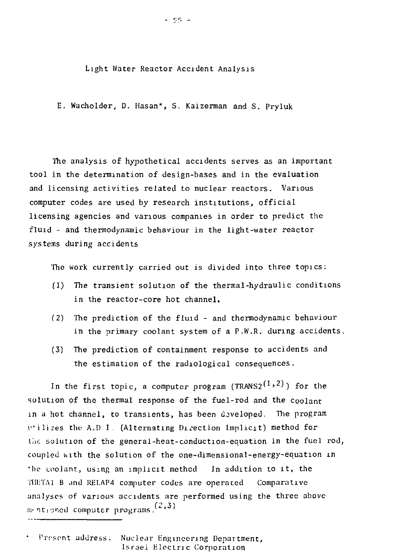Light Water Reactor Accident Analysis

E. Wacholder, D. Hasan\*, S. Kaizerman and S. Pryluk

The analysis of hypothetical accidents serves as an important tool in the determination of design-bases and in the evaluation and licensing activities related to nuclear reactors. Various computer codes are used by research institutions, official licensing agencies and various companies in order to predict the fluid - and thermodynamic behaviour in the light-water reactor systems during accidents

The work currently carried out is divided into three topics:

- $(1)$  The transient solution of the thermal-hydraulic conditions in the reactor-core hot channel.
- (2) The prediction of the fluid and thermodynamic behaviour in the primary coolant system of a  $P.W.R.$  during accidents.
- (3) The prediction of containment response to accidents and the estimation of the radiological consequences.

In the first topic, a computer program (TRANS2<sup>(1,2)</sup>) for the solution of the thermal response of the fuel-rod and the  $_{\rm{coolant}}$ in a hot channel, to transients, has been developed. The program utilizes the A.D.I. (Alternating Direction Implicit) method for the solution of the general-heat-conduction-equation in the fuel rod, coupled with the solution of the one-dimensional-energy-equation in the coolant, using an implicit method In addition to it, the THETAl B and RELAP4 computer codes are operated. Comparative analyses of various accidents are performed using the three above  $f(x, 3)$  med computer programs,  $(2, 3)$ 

Present address. Nuclear Engineering Department, Israel Electric Corporation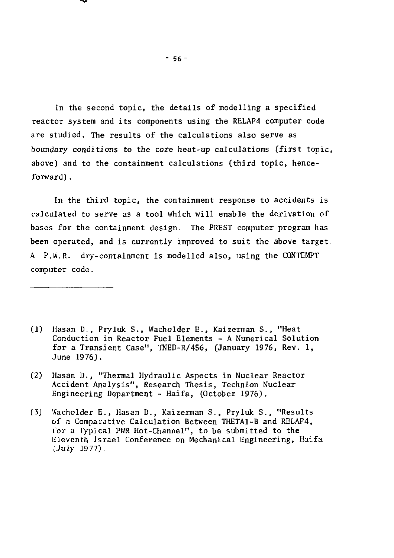In the second topic, the details of modelling a specified reactor system and its components using the RELAP4 computer code are studied. The results of the calculations also serve as boundary conditions to the core heat-up calculations (first topic, above] and to the containment calculations (third topic, henceforward) .

In the third topic, the containment response to accidents is calculated to serve as a tool which will enable the derivation of bases for the containment design. The PREST computer program has been operated, and is currently improved to suit the above target. A P.W.R. dry-containment is modelled also, using the CONTEMPT computer code.

- (1) Hasan D., Pryluk S., Wacholder E., Kaizerman S., "Heat Conduction in Reactor Fuel Elements - A Numerical Solution for a Transient Case", TNED-R/456, (January 1976, Rev. 1, June 1976).
- (2) Hasan D., "Thermal Hydraulic Aspects in Nuclear Reactor Accident Analysis", Research Thesis, Technion Nuclear Engineering Department - Haifa, (October 1976).
- (3) Wacholder E., Hasan D., Kaizerman S., Pryluk S., "Results of a Comparative Calculation Between THETA1-B and RELAP4, for a Typical PWR Hot-Channel", to be submitted to the Eleventh Israel Conference on Mechanical Engineering, Haifa (July 1977).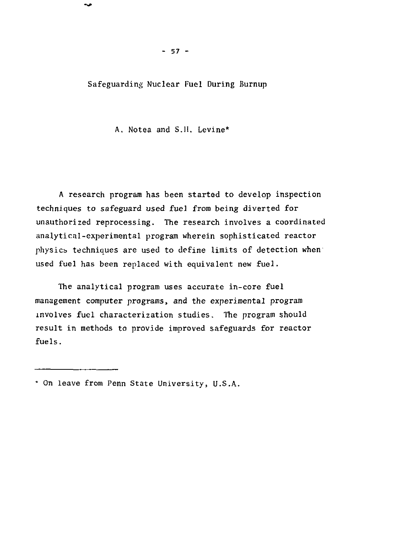Safeguarding Nuclear Fuel During Burnup

A, Notea and S.1I. Levine\*

A research program has been started to develop inspection techniques to safeguard used fuel from being diverted for unauthorized reprocessing. The research involves a coordinated analytical-experimental program wherein sophisticated reactor physics techniques are used to define limits of detection when used fuel has been replaced with equivalent new fuel.

The analytical program uses accurate in-core fuel management computer programs, and the experimental program involves fuel characterization studies. The program should result in methods to provide improved safeguards for reactor fuels.

<sup>\*</sup> On leave from Penn State University, U.S.A.